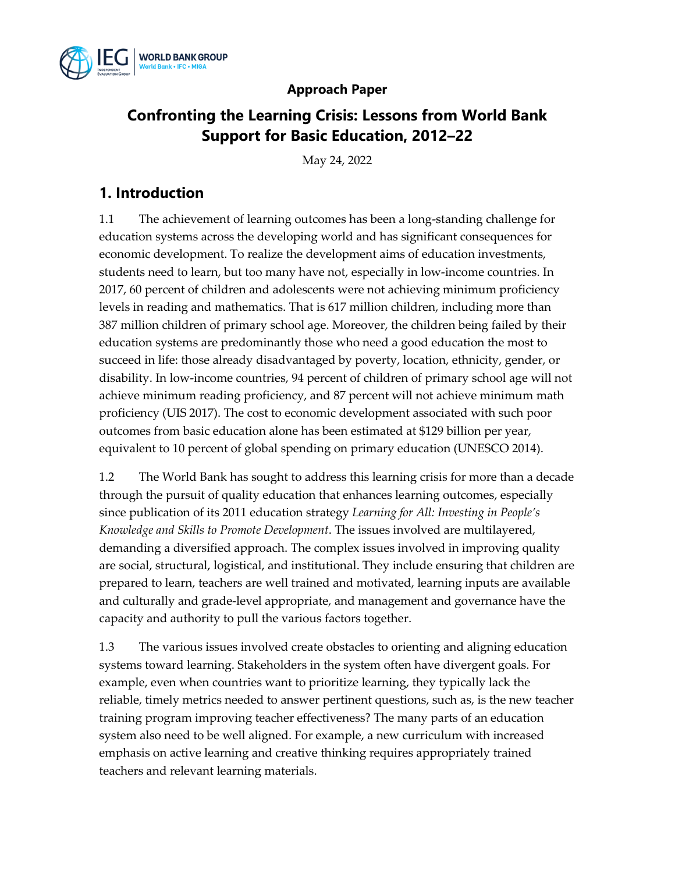

### **Approach Paper**

## **Confronting the Learning Crisis: Lessons from World Bank Support for Basic Education, 2012–22**

May 24, 2022

## **1. Introduction**

1.1 The achievement of learning outcomes has been a long-standing challenge for education systems across the developing world and has significant consequences for economic development. To realize the development aims of education investments, students need to learn, but too many have not, especially in low-income countries. In 2017, 60 percent of children and adolescents were not achieving minimum proficiency levels in reading and mathematics. That is 617 million children, including more than 387 million children of primary school age. Moreover, the children being failed by their education systems are predominantly those who need a good education the most to succeed in life: those already disadvantaged by poverty, location, ethnicity, gender, or disability. In low-income countries, 94 percent of children of primary school age will not achieve minimum reading proficiency, and 87 percent will not achieve minimum math proficiency (UIS 2017). The cost to economic development associated with such poor outcomes from basic education alone has been estimated at \$129 billion per year, equivalent to 10 percent of global spending on primary education (UNESCO 2014).

1.2 The World Bank has sought to address this learning crisis for more than a decade through the pursuit of quality education that enhances learning outcomes, especially since publication of its 2011 education strategy *Learning for All: Investing in People's Knowledge and Skills to Promote Development*. The issues involved are multilayered, demanding a diversified approach. The complex issues involved in improving quality are social, structural, logistical, and institutional. They include ensuring that children are prepared to learn, teachers are well trained and motivated, learning inputs are available and culturally and grade-level appropriate, and management and governance have the capacity and authority to pull the various factors together.

1.3 The various issues involved create obstacles to orienting and aligning education systems toward learning. Stakeholders in the system often have divergent goals. For example, even when countries want to prioritize learning, they typically lack the reliable, timely metrics needed to answer pertinent questions, such as, is the new teacher training program improving teacher effectiveness? The many parts of an education system also need to be well aligned. For example, a new curriculum with increased emphasis on active learning and creative thinking requires appropriately trained teachers and relevant learning materials.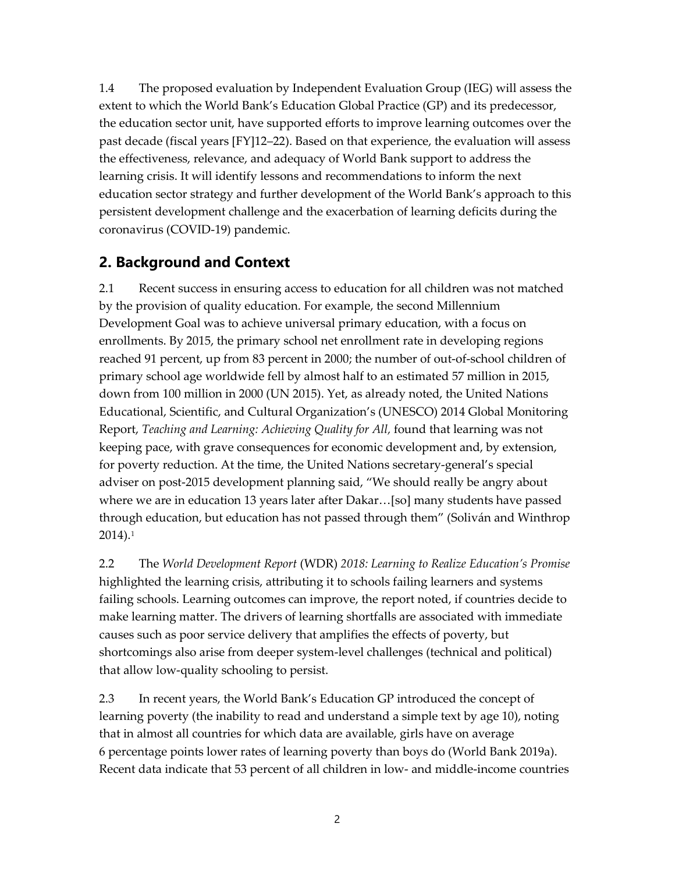1.4 The proposed evaluation by Independent Evaluation Group (IEG) will assess the extent to which the World Bank's Education Global Practice (GP) and its predecessor, the education sector unit, have supported efforts to improve learning outcomes over the past decade (fiscal years [FY]12–22). Based on that experience, the evaluation will assess the effectiveness, relevance, and adequacy of World Bank support to address the learning crisis. It will identify lessons and recommendations to inform the next education sector strategy and further development of the World Bank's approach to this persistent development challenge and the exacerbation of learning deficits during the coronavirus (COVID-19) pandemic.

### **2. Background and Context**

2.1 Recent success in ensuring access to education for all children was not matched by the provision of quality education. For example, the second Millennium Development Goal was to achieve universal primary education, with a focus on enrollments. By 2015, the primary school net enrollment rate in developing regions reached 91 percent, up from 83 percent in 2000; the number of out-of-school children of primary school age worldwide fell by almost half to an estimated 57 million in 2015, down from 100 million in 2000 [\(UN 2015\)](about:blank). Yet, as already noted, the United Nations Educational, Scientific, and Cultural Organization's (UNESCO) 2014 Global Monitoring Report, *Teaching and Learning: Achieving Quality for All,* found that learning was not keeping pace, with grave consequences for economic development and, by extension, for poverty reduction. At the time, the United Nations secretary-general's special adviser on post-2015 development planning said, "We should really be angry about where we are in education 13 years later after Dakar…[so] many students have passed through education, but education has not passed through them" (Soliván and Winthrop 2014).[1](#page-22-0)

2.2 The *World Development Report* (WDR) *2018: Learning to Realize Education's Promise* highlighted the learning crisis, attributing it to schools failing learners and systems failing schools. Learning outcomes can improve, the report noted, if countries decide to make learning matter. The drivers of learning shortfalls are associated with immediate causes such as poor service delivery that amplifies the effects of poverty, but shortcomings also arise from deeper system-level challenges (technical and political) that allow low-quality schooling to persist.

2.3 In recent years, the World Bank's Education GP introduced the concept of learning poverty (the inability to read and understand a simple text by age 10), noting that in almost all countries for which data are available, girls have on average 6 percentage points lower rates of learning poverty than boys do (World Bank 2019a). Recent data indicate that 53 percent of all children in low- and middle-income countries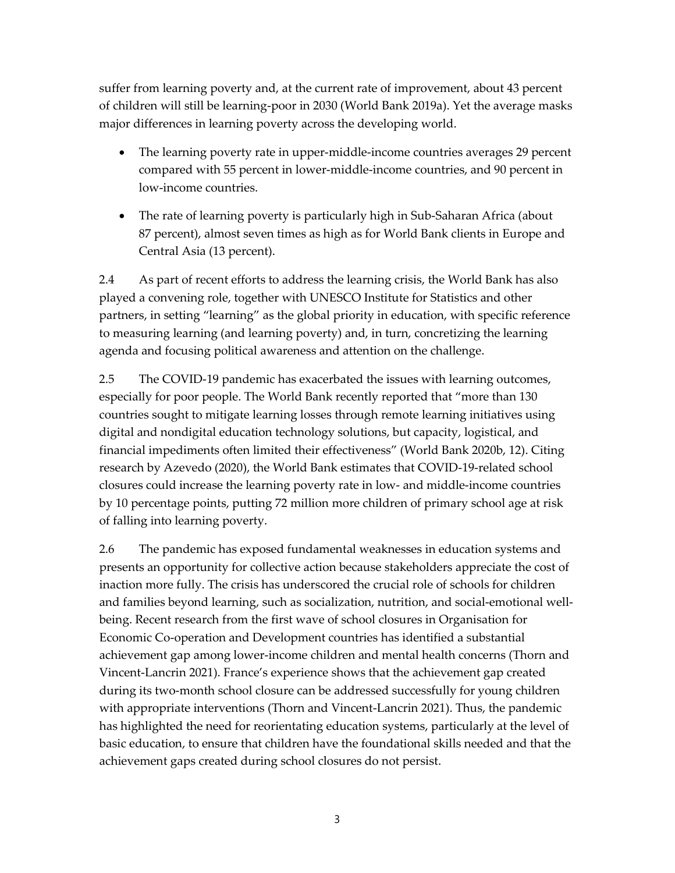suffer from learning poverty and, at the current rate of improvement, about 43 percent of children will still be learning-poor in 2030 (World Bank 2019a). Yet the average masks major differences in learning poverty across the developing world.

- The learning poverty rate in upper-middle-income countries averages 29 percent compared with 55 percent in lower-middle-income countries, and 90 percent in low-income countries.
- The rate of learning poverty is particularly high in Sub-Saharan Africa (about 87 percent), almost seven times as high as for World Bank clients in Europe and Central Asia (13 percent).

2.4 As part of recent efforts to address the learning crisis, the World Bank has also played a convening role, together with UNESCO Institute for Statistics and other partners, in setting "learning" as the global priority in education, with specific reference to measuring learning (and learning poverty) and, in turn, concretizing the learning agenda and focusing political awareness and attention on the challenge.

2.5 The COVID-19 pandemic has exacerbated the issues with learning outcomes, especially for poor people. The World Bank recently reported that "more than 130 countries sought to mitigate learning losses through remote learning initiatives using digital and nondigital education technology solutions, but capacity, logistical, and financial impediments often limited their effectiveness" (World Bank 2020b, 12). Citing research by Azevedo (2020), the World Bank estimates that COVID-19-related school closures could increase the learning poverty rate in low- and middle-income countries by 10 percentage points, putting 72 million more children of primary school age at risk of falling into learning poverty.

2.6 The pandemic has exposed fundamental weaknesses in education systems and presents an opportunity for collective action because stakeholders appreciate the cost of inaction more fully. The crisis has underscored the crucial role of schools for children and families beyond learning, such as socialization, nutrition, and social-emotional wellbeing. Recent research from the first wave of school closures in Organisation for Economic Co-operation and Development countries has identified a substantial achievement gap among lower-income children and mental health concerns (Thorn and Vincent-Lancrin 2021). France's experience shows that the achievement gap created during its two-month school closure can be addressed successfully for young children with appropriate interventions (Thorn and Vincent-Lancrin 2021). Thus, the pandemic has highlighted the need for reorientating education systems, particularly at the level of basic education, to ensure that children have the foundational skills needed and that the achievement gaps created during school closures do not persist.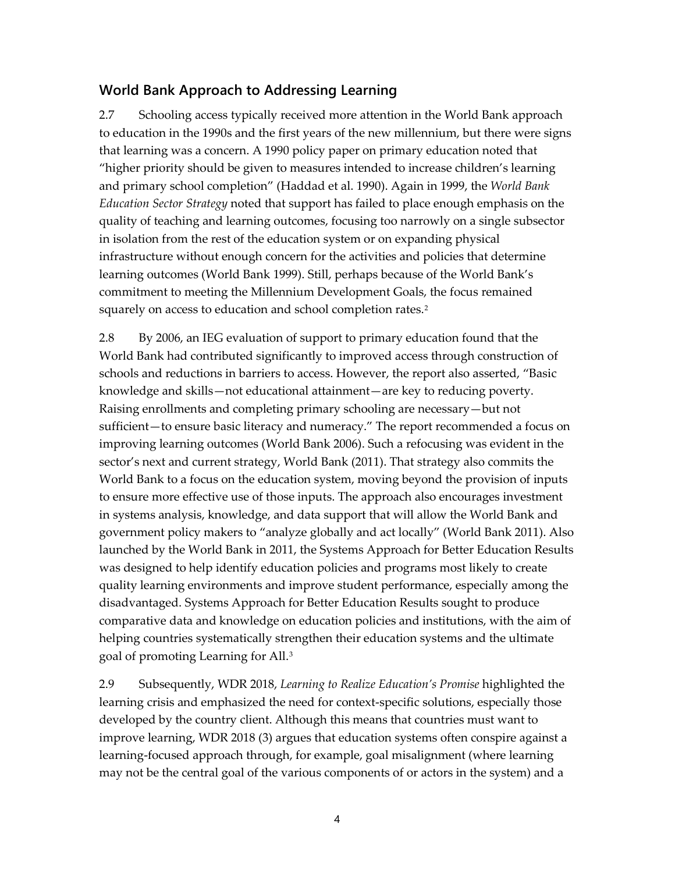### **World Bank Approach to Addressing Learning**

2.7 Schooling access typically received more attention in the World Bank approach to education in the 1990s and the first years of the new millennium, but there were signs that learning was a concern. A 1990 policy paper on primary education noted that "higher priority should be given to measures intended to increase children's learning and primary school completion" (Haddad et al. 1990). Again in 1999, the *World Bank Education Sector Strategy* noted that support has failed to place enough emphasis on the quality of teaching and learning outcomes, focusing too narrowly on a single subsector in isolation from the rest of the education system or on expanding physical infrastructure without enough concern for the activities and policies that determine learning outcomes (World Bank 1999). Still, perhaps because of the World Bank's commitment to meeting the Millennium Development Goals, the focus remained squarely on access to education and school completion rates.<sup>[2](#page-22-1)</sup>

2.8 By 2006, an IEG evaluation of support to primary education found that the World Bank had contributed significantly to improved access through construction of schools and reductions in barriers to access. However, the report also asserted, "Basic knowledge and skills—not educational attainment—are key to reducing poverty. Raising enrollments and completing primary schooling are necessary—but not sufficient—to ensure basic literacy and numeracy." The report recommended a focus on improving learning outcomes (World Bank 2006). Such a refocusing was evident in the sector's next and current strategy, World Bank (2011). That strategy also commits the World Bank to a focus on the education system, moving beyond the provision of inputs to ensure more effective use of those inputs. The approach also encourages investment in systems analysis, knowledge, and data support that will allow the World Bank and government policy makers to "analyze globally and act locally" (World Bank 2011). Also launched by the World Bank in 2011, the Systems Approach for Better Education Results was designed to help identify education policies and programs most likely to create quality learning environments and improve student performance, especially among the disadvantaged. Systems Approach for Better Education Results sought to produce comparative data and knowledge on education policies and institutions, with the aim of helping countries systematically strengthen their education systems and the ultimate goal of promoting Learning for All[.3](#page-22-2)

2.9 Subsequently, WDR 2018, *Learning to Realize Education's Promise* highlighted the learning crisis and emphasized the need for context-specific solutions, especially those developed by the country client. Although this means that countries must want to improve learning, WDR 2018 (3) argues that education systems often conspire against a learning-focused approach through, for example, goal misalignment (where learning may not be the central goal of the various components of or actors in the system) and a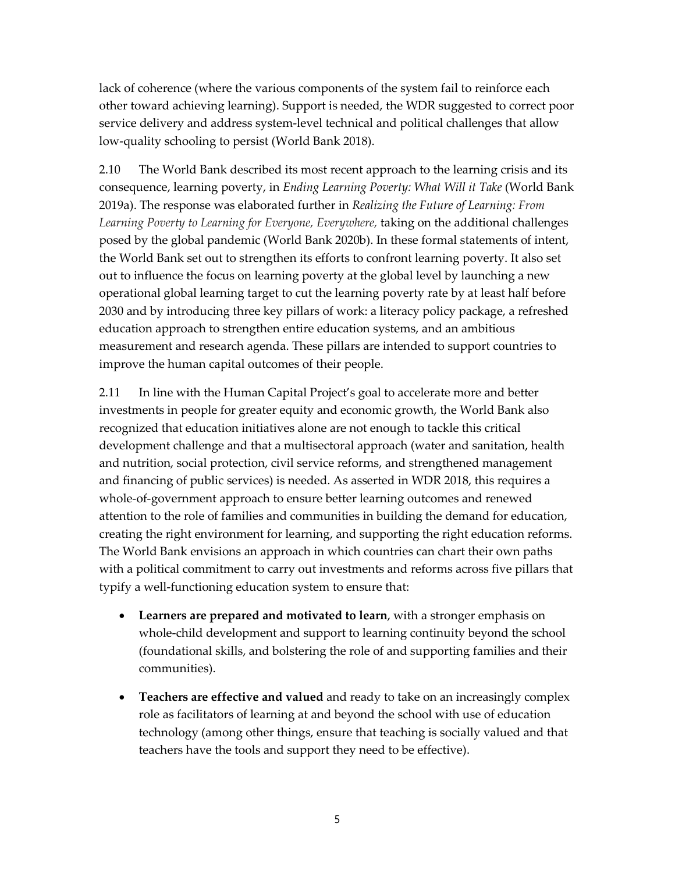lack of coherence (where the various components of the system fail to reinforce each other toward achieving learning). Support is needed, the WDR suggested to correct poor service delivery and address system-level technical and political challenges that allow low-quality schooling to persist (World Bank 2018).

2.10 The World Bank described its most recent approach to the learning crisis and its consequence, learning poverty, in *Ending Learning Poverty: What Will it Take* (World Bank 2019a). The response was elaborated further in *Realizing the Future of Learning: From*  Learning Poverty to Learning for Everyone, Everywhere, taking on the additional challenges posed by the global pandemic (World Bank 2020b). In these formal statements of intent, the World Bank set out to strengthen its efforts to confront learning poverty. It also set out to influence the focus on learning poverty at the global level by launching a new operational global learning target to cut the learning poverty rate by at least half before 2030 and by introducing three key pillars of work: a literacy policy package, a refreshed education approach to strengthen entire education systems, and an ambitious measurement and research agenda. These pillars are intended to support countries to improve the human capital outcomes of their people.

2.11 In line with the Human Capital Project's goal to accelerate more and better investments in people for greater equity and economic growth, the World Bank also recognized that education initiatives alone are not enough to tackle this critical development challenge and that a multisectoral approach (water and sanitation, health and nutrition, social protection, civil service reforms, and strengthened management and financing of public services) is needed. As asserted in WDR 2018, this requires a whole-of-government approach to ensure better learning outcomes and renewed attention to the role of families and communities in building the demand for education, creating the right environment for learning, and supporting the right education reforms. The World Bank envisions an approach in which countries can chart their own paths with a political commitment to carry out investments and reforms across five pillars that typify a well-functioning education system to ensure that:

- **Learners are prepared and motivated to learn**, with a stronger emphasis on whole-child development and support to learning continuity beyond the school (foundational skills, and bolstering the role of and supporting families and their communities).
- **Teachers are effective and valued** and ready to take on an increasingly complex role as facilitators of learning at and beyond the school with use of education technology (among other things, ensure that teaching is socially valued and that teachers have the tools and support they need to be effective).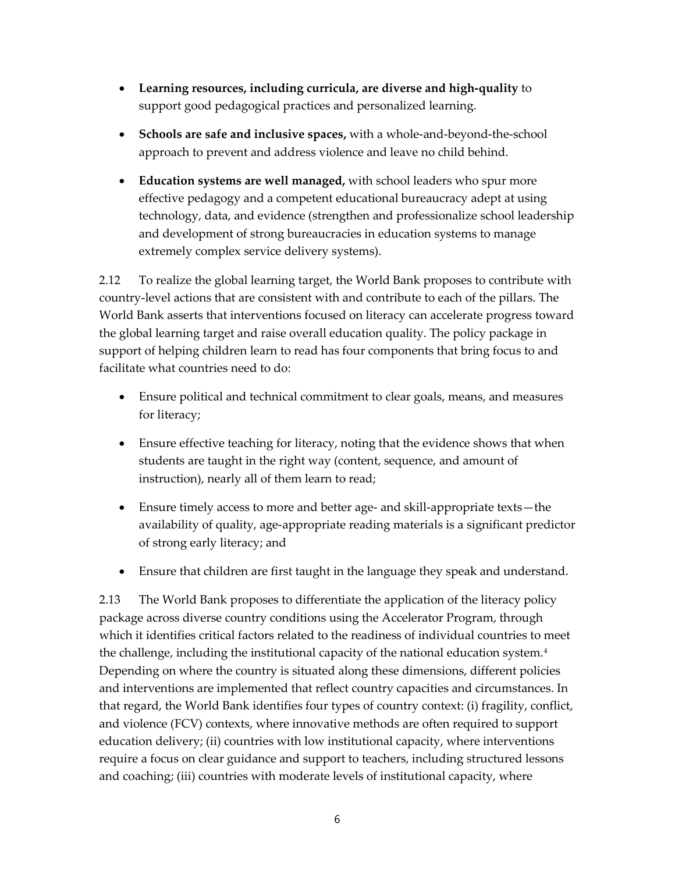- **Learning resources, including curricula, are diverse and high-quality** to support good pedagogical practices and personalized learning.
- **Schools are safe and inclusive spaces,** with a whole-and-beyond-the-school approach to prevent and address violence and leave no child behind.
- **Education systems are well managed,** with school leaders who spur more effective pedagogy and a competent educational bureaucracy adept at using technology, data, and evidence (strengthen and professionalize school leadership and development of strong bureaucracies in education systems to manage extremely complex service delivery systems).

2.12 To realize the global learning target, the World Bank proposes to contribute with country-level actions that are consistent with and contribute to each of the pillars. The World Bank asserts that interventions focused on literacy can accelerate progress toward the global learning target and raise overall education quality. The policy package in support of helping children learn to read has four components that bring focus to and facilitate what countries need to do:

- Ensure political and technical commitment to clear goals, means, and measures for literacy;
- Ensure effective teaching for literacy, noting that the evidence shows that when students are taught in the right way (content, sequence, and amount of instruction), nearly all of them learn to read;
- Ensure timely access to more and better age- and skill-appropriate texts—the availability of quality, age-appropriate reading materials is a significant predictor of strong early literacy; and
- Ensure that children are first taught in the language they speak and understand.

2.13 The World Bank proposes to differentiate the application of the literacy policy package across diverse country conditions using the Accelerator Program, through which it identifies critical factors related to the readiness of individual countries to meet the challenge, including the institutional capacity of the national education system.<sup>4</sup> Depending on where the country is situated along these dimensions, different policies and interventions are implemented that reflect country capacities and circumstances. In that regard, the World Bank identifies four types of country context: (i) fragility, conflict, and violence (FCV) contexts, where innovative methods are often required to support education delivery; (ii) countries with low institutional capacity, where interventions require a focus on clear guidance and support to teachers, including structured lessons and coaching; (iii) countries with moderate levels of institutional capacity, where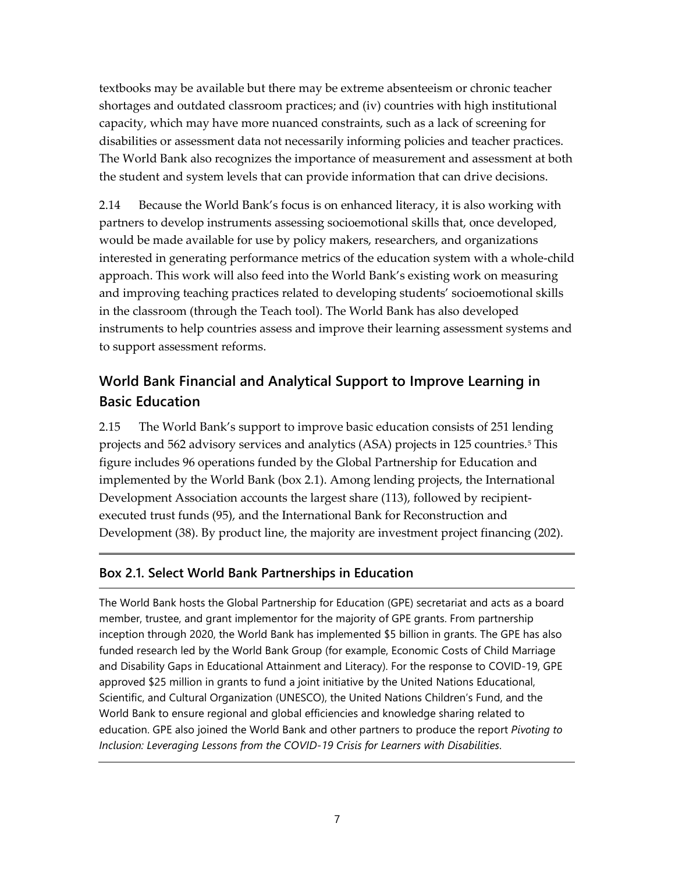textbooks may be available but there may be extreme absenteeism or chronic teacher shortages and outdated classroom practices; and (iv) countries with high institutional capacity, which may have more nuanced constraints, such as a lack of screening for disabilities or assessment data not necessarily informing policies and teacher practices. The World Bank also recognizes the importance of measurement and assessment at both the student and system levels that can provide information that can drive decisions.

2.14 Because the World Bank's focus is on enhanced literacy, it is also working with partners to develop instruments assessing socioemotional skills that, once developed, would be made available for use by policy makers, researchers, and organizations interested in generating performance metrics of the education system with a whole-child approach. This work will also feed into the World Bank's existing work on measuring and improving teaching practices related to developing students' socioemotional skills in the classroom (through the Teach tool). The World Bank has also developed instruments to help countries assess and improve their learning assessment systems and to support assessment reforms.

## **World Bank Financial and Analytical Support to Improve Learning in Basic Education**

2.15 The World Bank's support to improve basic education consists of 251 lending projects and 562 advisory services and analytics (ASA) projects in 125 countries.[5](#page-22-4) This figure includes 96 operations funded by the Global Partnership for Education and implemented by the World Bank (box 2.1). Among lending projects, the International Development Association accounts the largest share (113), followed by recipientexecuted trust funds (95), and the International Bank for Reconstruction and Development (38). By product line, the majority are investment project financing (202).

### **Box 2.1. Select World Bank Partnerships in Education**

The World Bank hosts the Global Partnership for Education (GPE) secretariat and acts as a board member, trustee, and grant implementor for the majority of GPE grants. From partnership inception through 2020, the World Bank has implemented \$5 billion in grants. The GPE has also funded research led by the World Bank Group (for example, Economic Costs of Child Marriage and Disability Gaps in Educational Attainment and Literacy). For the response to COVID-19, GPE approved \$25 million in grants to fund a joint initiative by the United Nations Educational, Scientific, and Cultural Organization (UNESCO), the United Nations Children's Fund, and the World Bank to ensure regional and global efficiencies and knowledge sharing related to education. GPE also joined the World Bank and other partners to produce the report *Pivoting to Inclusion: Leveraging Lessons from the COVID-19 Crisis for Learners with Disabilities*.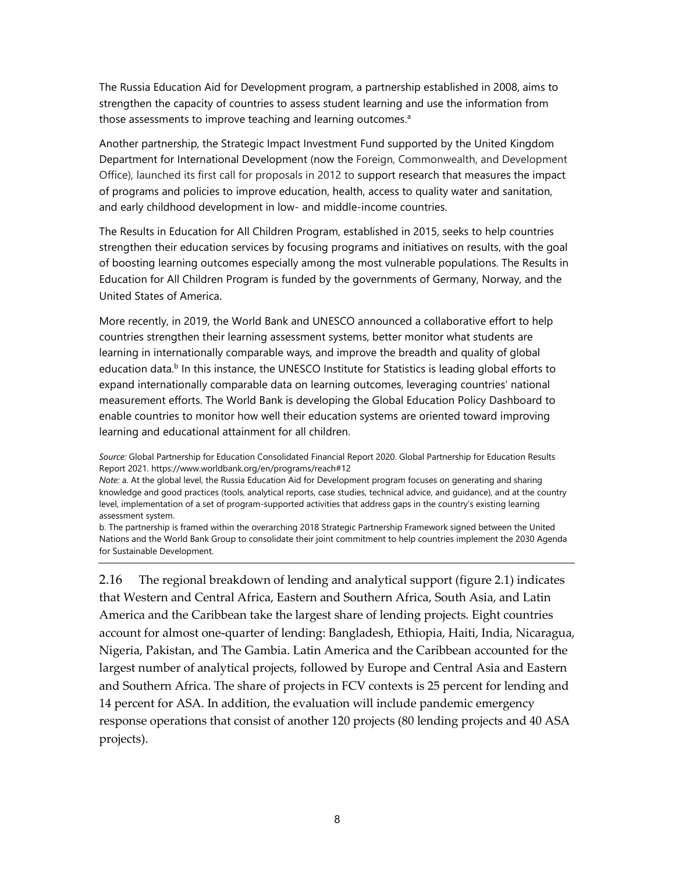The Russia Education Aid for Development program, a partnership established in 2008, aims to strengthen the capacity of countries to assess student learning and use the information from those assessments to improve teaching and learning outcomes.<sup>a</sup>

Another partnership, the Strategic Impact Investment Fund supported by the United Kingdom Department for International Development (now the Foreign, Commonwealth, and Development Office), launched its first call for proposals in 2012 to support research that measures the impact of programs and policies to improve education, health, access to quality water and sanitation, and early childhood development in low- and middle-income countries.

The Results in Education for All Children Program, established in 2015, seeks to help countries strengthen their education services by focusing programs and initiatives on results, with the goal of boosting learning outcomes especially among the most vulnerable populations. The Results in Education for All Children Program is funded by the governments of Germany, Norway, and the United States of America.

More recently, in 2019, the World Bank and UNESCO announced a collaborative effort to help countries strengthen their learning assessment systems, better monitor what students are learning in internationally comparable ways, and improve the breadth and quality of global education data. $<sup>b</sup>$  In this instance, the UNESCO Institute for Statistics is leading global efforts to</sup> expand internationally comparable data on learning outcomes, leveraging countries' national measurement efforts. The World Bank is developing the Global Education Policy Dashboard to enable countries to monitor how well their education systems are oriented toward improving learning and educational attainment for all children.

*Note:* a. At the global level, the Russia Education Aid for Development program focuses on generating and sharing knowledge and good practices (tools, analytical reports, case studies, technical advice, and guidance), and at the country level, implementation of a set of program-supported activities that address gaps in the country's existing learning assessment system.

b. The partnership is framed within the overarching 2018 Strategic Partnership Framework signed between the United Nations and the World Bank Group to consolidate their joint commitment to help countries implement the 2030 Agenda for Sustainable Development.

2.16 The regional breakdown of lending and analytical support (figure 2.1) indicates that Western and Central Africa, Eastern and Southern Africa, South Asia, and Latin America and the Caribbean take the largest share of lending projects. Eight countries account for almost one-quarter of lending: Bangladesh, Ethiopia, Haiti, India, Nicaragua, Nigeria, Pakistan, and The Gambia. Latin America and the Caribbean accounted for the largest number of analytical projects, followed by Europe and Central Asia and Eastern and Southern Africa. The share of projects in FCV contexts is 25 percent for lending and 14 percent for ASA. In addition, the evaluation will include pandemic emergency response operations that consist of another 120 projects (80 lending projects and 40 ASA projects).

*Source:* Global Partnership for Education Consolidated Financial Report 2020. Global Partnership for Education Results Report 2021. https://www.worldbank.org/en/programs/reach#12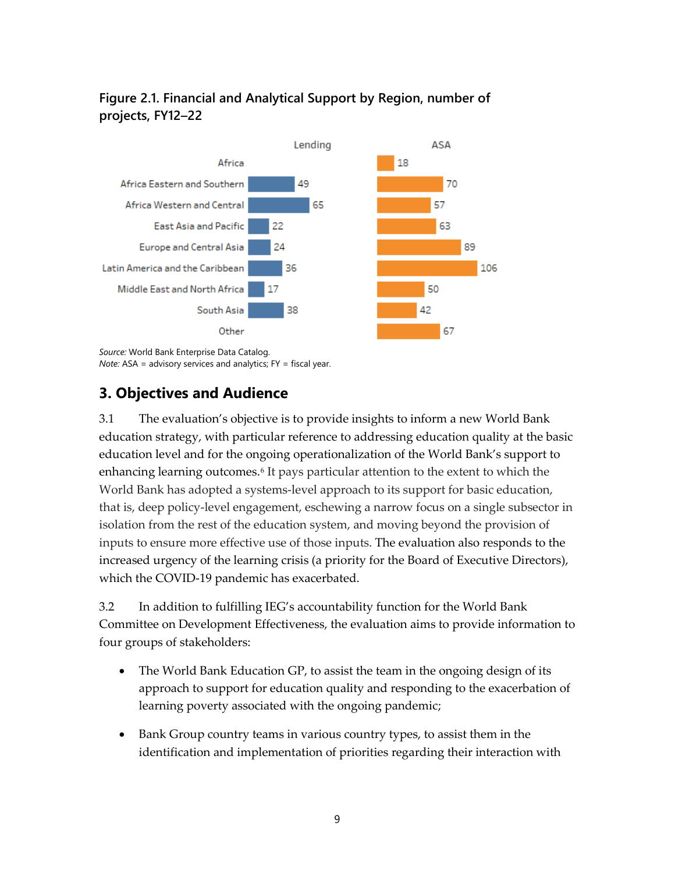### **Figure 2.1. Financial and Analytical Support by Region, number of projects, FY12–22**



*Source:* World Bank Enterprise Data Catalog. *Note:* ASA = advisory services and analytics; FY = fiscal year.

## **3. Objectives and Audience**

3.1 The evaluation's objective is to provide insights to inform a new World Bank education strategy, with particular reference to addressing education quality at the basic education level and for the ongoing operationalization of the World Bank's support to enhancing learning outcomes.<sup>[6](#page-22-5)</sup> It pays particular attention to the extent to which the World Bank has adopted a systems-level approach to its support for basic education, that is, deep policy-level engagement, eschewing a narrow focus on a single subsector in isolation from the rest of the education system, and moving beyond the provision of inputs to ensure more effective use of those inputs. The evaluation also responds to the increased urgency of the learning crisis (a priority for the Board of Executive Directors), which the COVID-19 pandemic has exacerbated.

3.2 In addition to fulfilling IEG's accountability function for the World Bank Committee on Development Effectiveness, the evaluation aims to provide information to four groups of stakeholders:

- The World Bank Education GP, to assist the team in the ongoing design of its approach to support for education quality and responding to the exacerbation of learning poverty associated with the ongoing pandemic;
- Bank Group country teams in various country types, to assist them in the identification and implementation of priorities regarding their interaction with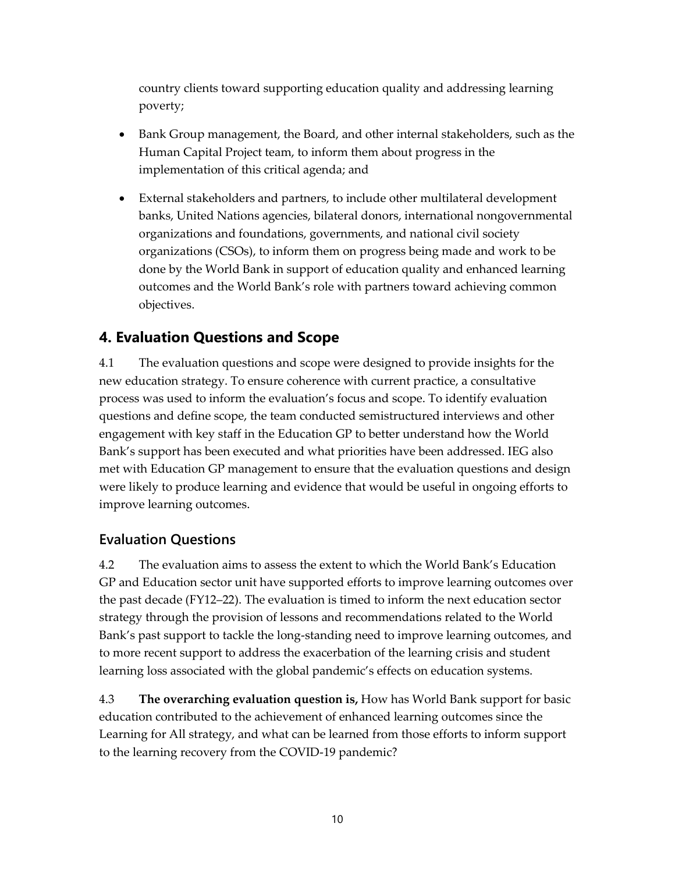country clients toward supporting education quality and addressing learning poverty;

- Bank Group management, the Board, and other internal stakeholders, such as the Human Capital Project team, to inform them about progress in the implementation of this critical agenda; and
- External stakeholders and partners, to include other multilateral development banks, United Nations agencies, bilateral donors, international nongovernmental organizations and foundations, governments, and national civil society organizations (CSOs), to inform them on progress being made and work to be done by the World Bank in support of education quality and enhanced learning outcomes and the World Bank's role with partners toward achieving common objectives.

## **4. Evaluation Questions and Scope**

4.1 The evaluation questions and scope were designed to provide insights for the new education strategy. To ensure coherence with current practice, a consultative process was used to inform the evaluation's focus and scope. To identify evaluation questions and define scope, the team conducted semistructured interviews and other engagement with key staff in the Education GP to better understand how the World Bank's support has been executed and what priorities have been addressed. IEG also met with Education GP management to ensure that the evaluation questions and design were likely to produce learning and evidence that would be useful in ongoing efforts to improve learning outcomes.

### **Evaluation Questions**

4.2 The evaluation aims to assess the extent to which the World Bank's Education GP and Education sector unit have supported efforts to improve learning outcomes over the past decade (FY12–22). The evaluation is timed to inform the next education sector strategy through the provision of lessons and recommendations related to the World Bank's past support to tackle the long-standing need to improve learning outcomes, and to more recent support to address the exacerbation of the learning crisis and student learning loss associated with the global pandemic's effects on education systems.

4.3 **The overarching evaluation question is,** How has World Bank support for basic education contributed to the achievement of enhanced learning outcomes since the Learning for All strategy, and what can be learned from those efforts to inform support to the learning recovery from the COVID-19 pandemic?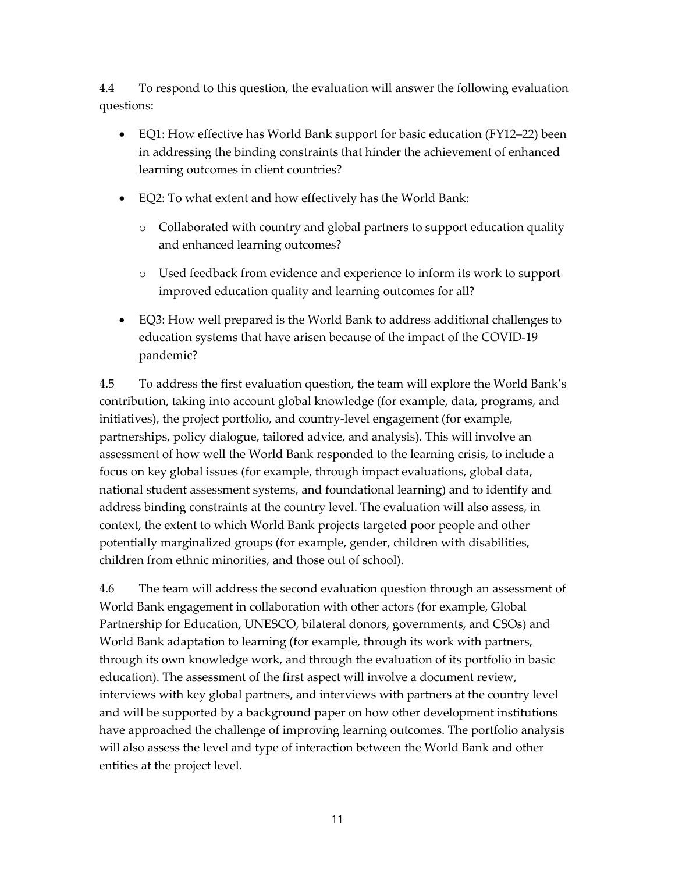4.4 To respond to this question, the evaluation will answer the following evaluation questions:

- EQ1: How effective has World Bank support for basic education (FY12–22) been in addressing the binding constraints that hinder the achievement of enhanced learning outcomes in client countries?
- EQ2: To what extent and how effectively has the World Bank:
	- o Collaborated with country and global partners to support education quality and enhanced learning outcomes?
	- o Used feedback from evidence and experience to inform its work to support improved education quality and learning outcomes for all?
- EQ3: How well prepared is the World Bank to address additional challenges to education systems that have arisen because of the impact of the COVID-19 pandemic?

4.5 To address the first evaluation question, the team will explore the World Bank's contribution, taking into account global knowledge (for example, data, programs, and initiatives), the project portfolio, and country-level engagement (for example, partnerships, policy dialogue, tailored advice, and analysis). This will involve an assessment of how well the World Bank responded to the learning crisis, to include a focus on key global issues (for example, through impact evaluations, global data, national student assessment systems, and foundational learning) and to identify and address binding constraints at the country level. The evaluation will also assess, in context, the extent to which World Bank projects targeted poor people and other potentially marginalized groups (for example, gender, children with disabilities, children from ethnic minorities, and those out of school).

4.6 The team will address the second evaluation question through an assessment of World Bank engagement in collaboration with other actors (for example, Global Partnership for Education, UNESCO, bilateral donors, governments, and CSOs) and World Bank adaptation to learning (for example, through its work with partners, through its own knowledge work, and through the evaluation of its portfolio in basic education). The assessment of the first aspect will involve a document review, interviews with key global partners, and interviews with partners at the country level and will be supported by a background paper on how other development institutions have approached the challenge of improving learning outcomes. The portfolio analysis will also assess the level and type of interaction between the World Bank and other entities at the project level.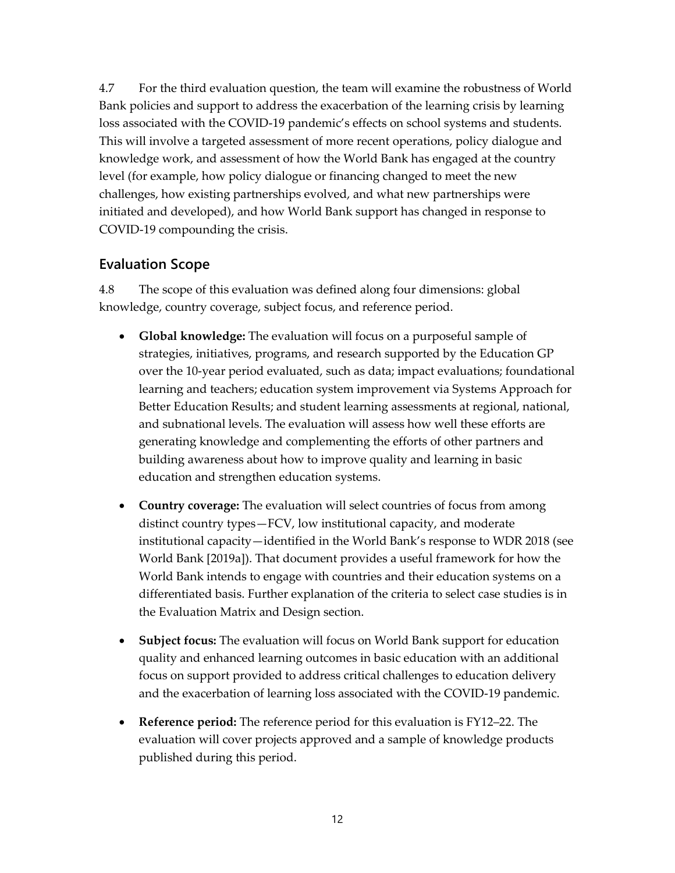4.7 For the third evaluation question, the team will examine the robustness of World Bank policies and support to address the exacerbation of the learning crisis by learning loss associated with the COVID-19 pandemic's effects on school systems and students. This will involve a targeted assessment of more recent operations, policy dialogue and knowledge work, and assessment of how the World Bank has engaged at the country level (for example, how policy dialogue or financing changed to meet the new challenges, how existing partnerships evolved, and what new partnerships were initiated and developed), and how World Bank support has changed in response to COVID-19 compounding the crisis.

### **Evaluation Scope**

4.8 The scope of this evaluation was defined along four dimensions: global knowledge, country coverage, subject focus, and reference period.

- **Global knowledge:** The evaluation will focus on a purposeful sample of strategies, initiatives, programs, and research supported by the Education GP over the 10-year period evaluated, such as data; impact evaluations; foundational learning and teachers; education system improvement via Systems Approach for Better Education Results; and student learning assessments at regional, national, and subnational levels. The evaluation will assess how well these efforts are generating knowledge and complementing the efforts of other partners and building awareness about how to improve quality and learning in basic education and strengthen education systems.
- **Country coverage:** The evaluation will select countries of focus from among distinct country types—FCV, low institutional capacity, and moderate institutional capacity—identified in the World Bank's response to WDR 2018 (see World Bank [2019a]). That document provides a useful framework for how the World Bank intends to engage with countries and their education systems on a differentiated basis. Further explanation of the criteria to select case studies is in the Evaluation Matrix and Design section.
- **Subject focus:** The evaluation will focus on World Bank support for education quality and enhanced learning outcomes in basic education with an additional focus on support provided to address critical challenges to education delivery and the exacerbation of learning loss associated with the COVID-19 pandemic.
- **Reference period:** The reference period for this evaluation is FY12–22. The evaluation will cover projects approved and a sample of knowledge products published during this period.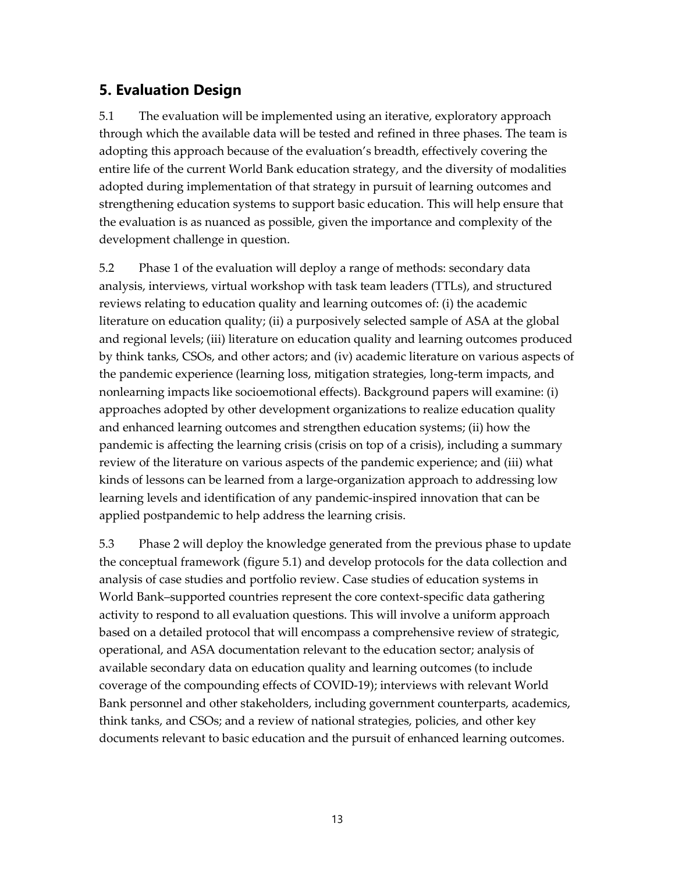### **5. Evaluation Design**

5.1 The evaluation will be implemented using an iterative, exploratory approach through which the available data will be tested and refined in three phases. The team is adopting this approach because of the evaluation's breadth, effectively covering the entire life of the current World Bank education strategy, and the diversity of modalities adopted during implementation of that strategy in pursuit of learning outcomes and strengthening education systems to support basic education. This will help ensure that the evaluation is as nuanced as possible, given the importance and complexity of the development challenge in question.

5.2 Phase 1 of the evaluation will deploy a range of methods: secondary data analysis, interviews, virtual workshop with task team leaders (TTLs), and structured reviews relating to education quality and learning outcomes of: (i) the academic literature on education quality; (ii) a purposively selected sample of ASA at the global and regional levels; (iii) literature on education quality and learning outcomes produced by think tanks, CSOs, and other actors; and (iv) academic literature on various aspects of the pandemic experience (learning loss, mitigation strategies, long-term impacts, and nonlearning impacts like socioemotional effects). Background papers will examine: (i) approaches adopted by other development organizations to realize education quality and enhanced learning outcomes and strengthen education systems; (ii) how the pandemic is affecting the learning crisis (crisis on top of a crisis), including a summary review of the literature on various aspects of the pandemic experience; and (iii) what kinds of lessons can be learned from a large-organization approach to addressing low learning levels and identification of any pandemic-inspired innovation that can be applied postpandemic to help address the learning crisis.

5.3 Phase 2 will deploy the knowledge generated from the previous phase to update the conceptual framework (figure 5.1) and develop protocols for the data collection and analysis of case studies and portfolio review. Case studies of education systems in World Bank–supported countries represent the core context-specific data gathering activity to respond to all evaluation questions. This will involve a uniform approach based on a detailed protocol that will encompass a comprehensive review of strategic, operational, and ASA documentation relevant to the education sector; analysis of available secondary data on education quality and learning outcomes (to include coverage of the compounding effects of COVID-19); interviews with relevant World Bank personnel and other stakeholders, including government counterparts, academics, think tanks, and CSOs; and a review of national strategies, policies, and other key documents relevant to basic education and the pursuit of enhanced learning outcomes.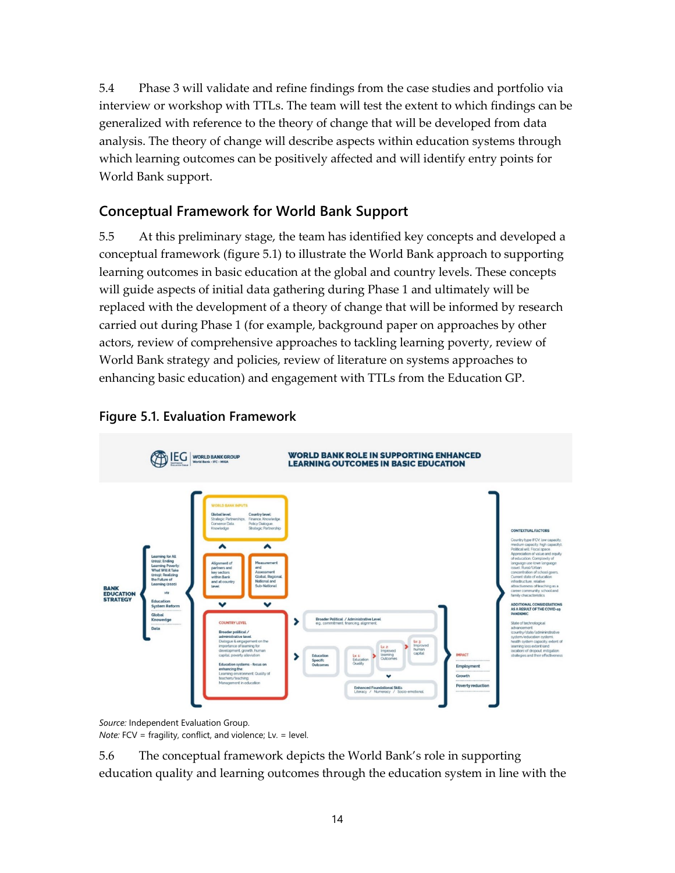5.4 Phase 3 will validate and refine findings from the case studies and portfolio via interview or workshop with TTLs. The team will test the extent to which findings can be generalized with reference to the theory of change that will be developed from data analysis. The theory of change will describe aspects within education systems through which learning outcomes can be positively affected and will identify entry points for World Bank support.

### **Conceptual Framework for World Bank Support**

5.5 At this preliminary stage, the team has identified key concepts and developed a conceptual framework (figure 5.1) to illustrate the World Bank approach to supporting learning outcomes in basic education at the global and country levels. These concepts will guide aspects of initial data gathering during Phase 1 and ultimately will be replaced with the development of a theory of change that will be informed by research carried out during Phase 1 (for example, background paper on approaches by other actors, review of comprehensive approaches to tackling learning poverty, review of World Bank strategy and policies, review of literature on systems approaches to enhancing basic education) and engagement with TTLs from the Education GP.



#### **Figure 5.1. Evaluation Framework**

*Source:* Independent Evaluation Group. *Note:* FCV = fragility, conflict, and violence; Lv. = level.

5.6 The conceptual framework depicts the World Bank's role in supporting education quality and learning outcomes through the education system in line with the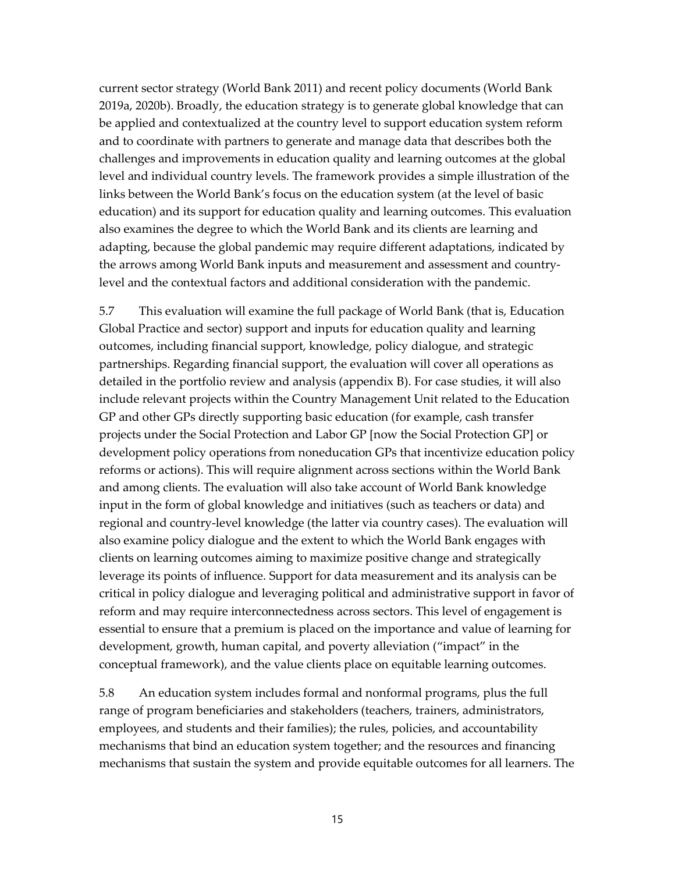current sector strategy (World Bank 2011) and recent policy documents (World Bank 2019a, 2020b). Broadly, the education strategy is to generate global knowledge that can be applied and contextualized at the country level to support education system reform and to coordinate with partners to generate and manage data that describes both the challenges and improvements in education quality and learning outcomes at the global level and individual country levels. The framework provides a simple illustration of the links between the World Bank's focus on the education system (at the level of basic education) and its support for education quality and learning outcomes. This evaluation also examines the degree to which the World Bank and its clients are learning and adapting, because the global pandemic may require different adaptations, indicated by the arrows among World Bank inputs and measurement and assessment and countrylevel and the contextual factors and additional consideration with the pandemic.

5.7 This evaluation will examine the full package of World Bank (that is, Education Global Practice and sector) support and inputs for education quality and learning outcomes, including financial support, knowledge, policy dialogue, and strategic partnerships. Regarding financial support, the evaluation will cover all operations as detailed in the portfolio review and analysis (appendix B). For case studies, it will also include relevant projects within the Country Management Unit related to the Education GP and other GPs directly supporting basic education (for example, cash transfer projects under the Social Protection and Labor GP [now the Social Protection GP] or development policy operations from noneducation GPs that incentivize education policy reforms or actions). This will require alignment across sections within the World Bank and among clients. The evaluation will also take account of World Bank knowledge input in the form of global knowledge and initiatives (such as teachers or data) and regional and country-level knowledge (the latter via country cases). The evaluation will also examine policy dialogue and the extent to which the World Bank engages with clients on learning outcomes aiming to maximize positive change and strategically leverage its points of influence. Support for data measurement and its analysis can be critical in policy dialogue and leveraging political and administrative support in favor of reform and may require interconnectedness across sectors. This level of engagement is essential to ensure that a premium is placed on the importance and value of learning for development, growth, human capital, and poverty alleviation ("impact" in the conceptual framework), and the value clients place on equitable learning outcomes.

5.8 An education system includes formal and nonformal programs, plus the full range of program beneficiaries and stakeholders (teachers, trainers, administrators, employees, and students and their families); the rules, policies, and accountability mechanisms that bind an education system together; and the resources and financing mechanisms that sustain the system and provide equitable outcomes for all learners. The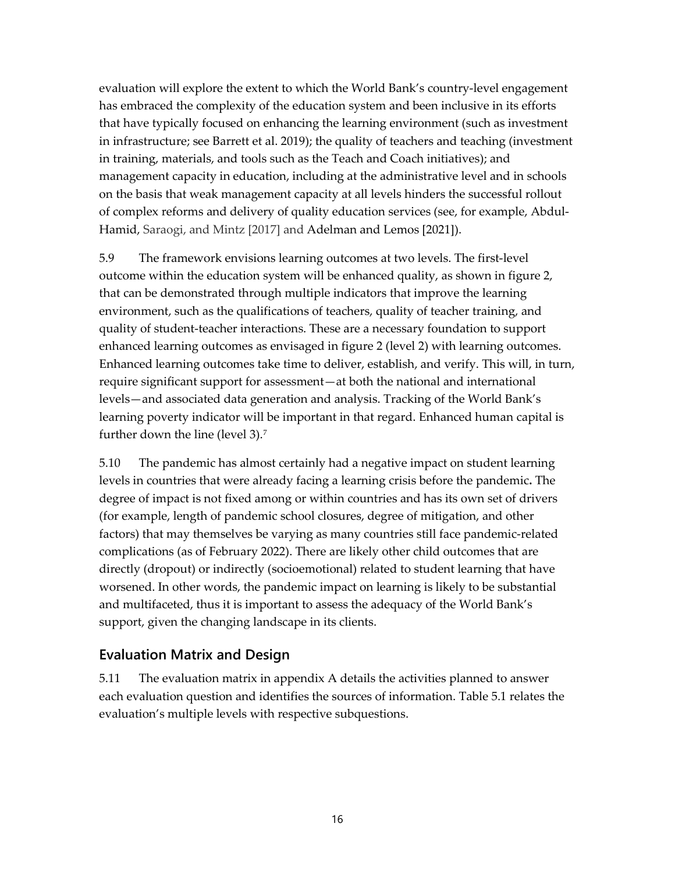evaluation will explore the extent to which the World Bank's country-level engagement has embraced the complexity of the education system and been inclusive in its efforts that have typically focused on enhancing the learning environment (such as investment in infrastructure; see Barrett et al. 2019); the quality of teachers and teaching (investment in training, materials, and tools such as the Teach and Coach initiatives); and management capacity in education, including at the administrative level and in schools on the basis that weak management capacity at all levels hinders the successful rollout of complex reforms and delivery of quality education services (see, for example, Abdul-Hamid, Saraogi, and Mintz [2017] and Adelman and Lemos [2021]).

5.9 The framework envisions learning outcomes at two levels. The first-level outcome within the education system will be enhanced quality, as shown in figure 2, that can be demonstrated through multiple indicators that improve the learning environment, such as the qualifications of teachers, quality of teacher training, and quality of student-teacher interactions. These are a necessary foundation to support enhanced learning outcomes as envisaged in figure 2 (level 2) with learning outcomes. Enhanced learning outcomes take time to deliver, establish, and verify. This will, in turn, require significant support for assessment—at both the national and international levels—and associated data generation and analysis. Tracking of the World Bank's learning poverty indicator will be important in that regard. Enhanced human capital is further down the line (level 3).[7](#page-23-0)

5.10 The pandemic has almost certainly had a negative impact on student learning levels in countries that were already facing a learning crisis before the pandemic**.** The degree of impact is not fixed among or within countries and has its own set of drivers (for example, length of pandemic school closures, degree of mitigation, and other factors) that may themselves be varying as many countries still face pandemic-related complications (as of February 2022). There are likely other child outcomes that are directly (dropout) or indirectly (socioemotional) related to student learning that have worsened. In other words, the pandemic impact on learning is likely to be substantial and multifaceted, thus it is important to assess the adequacy of the World Bank's support, given the changing landscape in its clients.

### **Evaluation Matrix and Design**

5.11 The evaluation matrix in appendix A details the activities planned to answer each evaluation question and identifies the sources of information. Table 5.1 relates the evaluation's multiple levels with respective subquestions.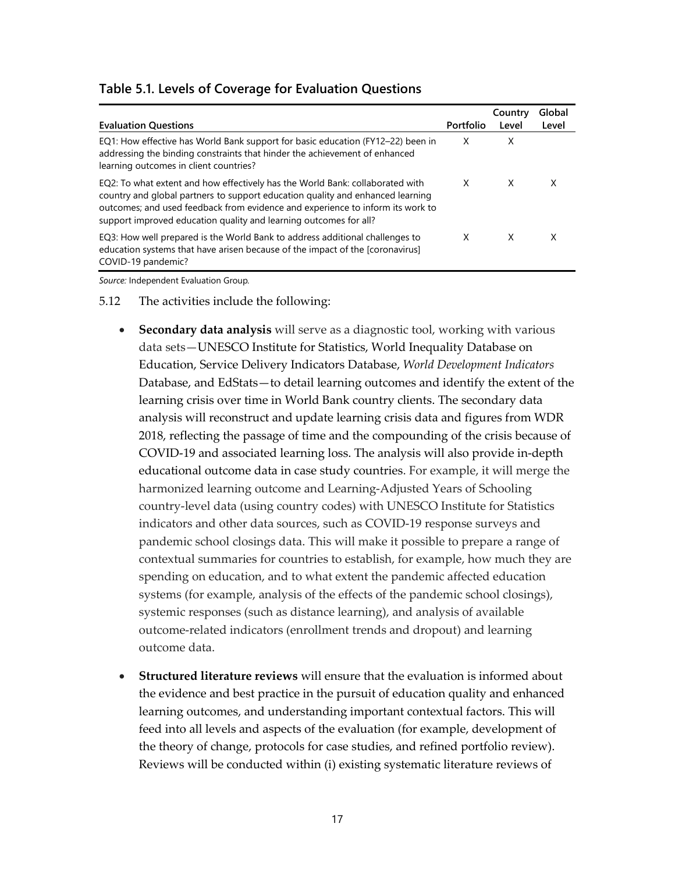|                                                                                                                                                                                                                                                                                                                        |           | Country | Global |
|------------------------------------------------------------------------------------------------------------------------------------------------------------------------------------------------------------------------------------------------------------------------------------------------------------------------|-----------|---------|--------|
| <b>Evaluation Questions</b>                                                                                                                                                                                                                                                                                            | Portfolio | Level   | Level  |
| EQ1: How effective has World Bank support for basic education (FY12-22) been in<br>addressing the binding constraints that hinder the achievement of enhanced<br>learning outcomes in client countries?                                                                                                                | X         | X       |        |
| EQ2: To what extent and how effectively has the World Bank: collaborated with<br>country and global partners to support education quality and enhanced learning<br>outcomes; and used feedback from evidence and experience to inform its work to<br>support improved education quality and learning outcomes for all? | X         | X       | x      |
| EQ3: How well prepared is the World Bank to address additional challenges to<br>education systems that have arisen because of the impact of the [coronavirus]<br>COVID-19 pandemic?                                                                                                                                    | X         | X       | X      |

#### **Table 5.1. Levels of Coverage for Evaluation Questions**

*Source:* Independent Evaluation Group*.*

- 5.12 The activities include the following:
	- **Secondary data analysis** will serve as a diagnostic tool, working with various data sets—UNESCO Institute for Statistics, World Inequality Database on Education, Service Delivery Indicators Database, *World Development Indicators* Database, and EdStats—to detail learning outcomes and identify the extent of the learning crisis over time in World Bank country clients. The secondary data analysis will reconstruct and update learning crisis data and figures from WDR 2018, reflecting the passage of time and the compounding of the crisis because of COVID-19 and associated learning loss. The analysis will also provide in-depth educational outcome data in case study countries. For example, it will merge the harmonized learning outcome and Learning-Adjusted Years of Schooling country-level data (using country codes) with UNESCO Institute for Statistics indicators and other data sources, such as COVID-19 response surveys and pandemic school closings data. This will make it possible to prepare a range of contextual summaries for countries to establish, for example, how much they are spending on education, and to what extent the pandemic affected education systems (for example, analysis of the effects of the pandemic school closings), systemic responses (such as distance learning), and analysis of available outcome-related indicators (enrollment trends and dropout) and learning outcome data.
	- **Structured literature reviews** will ensure that the evaluation is informed about the evidence and best practice in the pursuit of education quality and enhanced learning outcomes, and understanding important contextual factors. This will feed into all levels and aspects of the evaluation (for example, development of the theory of change, protocols for case studies, and refined portfolio review). Reviews will be conducted within (i) existing systematic literature reviews of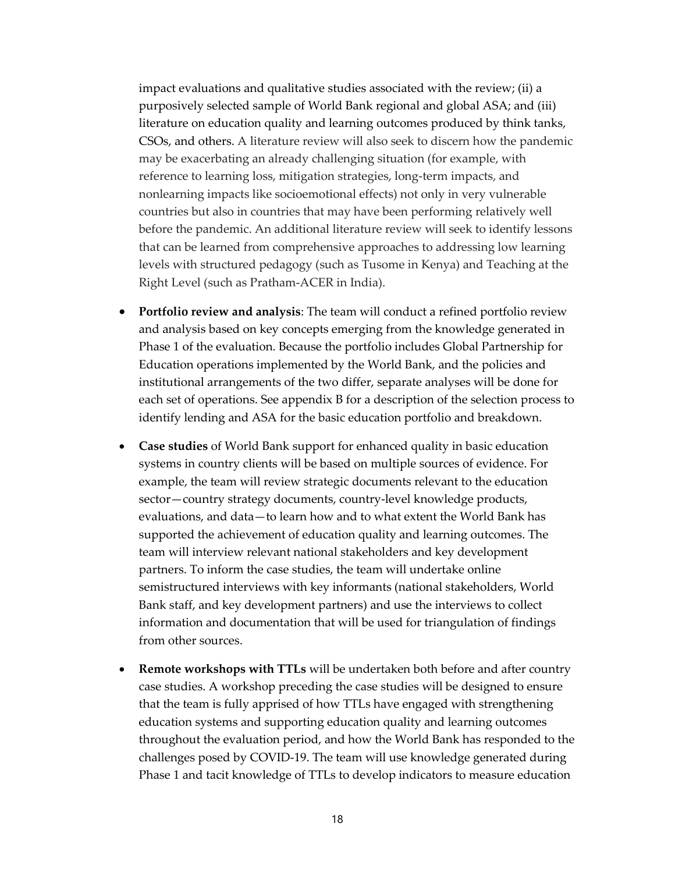impact evaluations and qualitative studies associated with the review; (ii) a purposively selected sample of World Bank regional and global ASA; and (iii) literature on education quality and learning outcomes produced by think tanks, CSOs, and others. A literature review will also seek to discern how the pandemic may be exacerbating an already challenging situation (for example, with reference to learning loss, mitigation strategies, long-term impacts, and nonlearning impacts like socioemotional effects) not only in very vulnerable countries but also in countries that may have been performing relatively well before the pandemic. An additional literature review will seek to identify lessons that can be learned from comprehensive approaches to addressing low learning levels with structured pedagogy (such as Tusome in Kenya) and Teaching at the Right Level (such as Pratham-ACER in India).

- **Portfolio review and analysis**: The team will conduct a refined portfolio review and analysis based on key concepts emerging from the knowledge generated in Phase 1 of the evaluation. Because the portfolio includes Global Partnership for Education operations implemented by the World Bank, and the policies and institutional arrangements of the two differ, separate analyses will be done for each set of operations. See appendix B for a description of the selection process to identify lending and ASA for the basic education portfolio and breakdown.
- **Case studies** of World Bank support for enhanced quality in basic education systems in country clients will be based on multiple sources of evidence. For example, the team will review strategic documents relevant to the education sector—country strategy documents, country-level knowledge products, evaluations, and data—to learn how and to what extent the World Bank has supported the achievement of education quality and learning outcomes. The team will interview relevant national stakeholders and key development partners. To inform the case studies, the team will undertake online semistructured interviews with key informants (national stakeholders, World Bank staff, and key development partners) and use the interviews to collect information and documentation that will be used for triangulation of findings from other sources.
- **Remote workshops with TTLs** will be undertaken both before and after country case studies. A workshop preceding the case studies will be designed to ensure that the team is fully apprised of how TTLs have engaged with strengthening education systems and supporting education quality and learning outcomes throughout the evaluation period, and how the World Bank has responded to the challenges posed by COVID-19. The team will use knowledge generated during Phase 1 and tacit knowledge of TTLs to develop indicators to measure education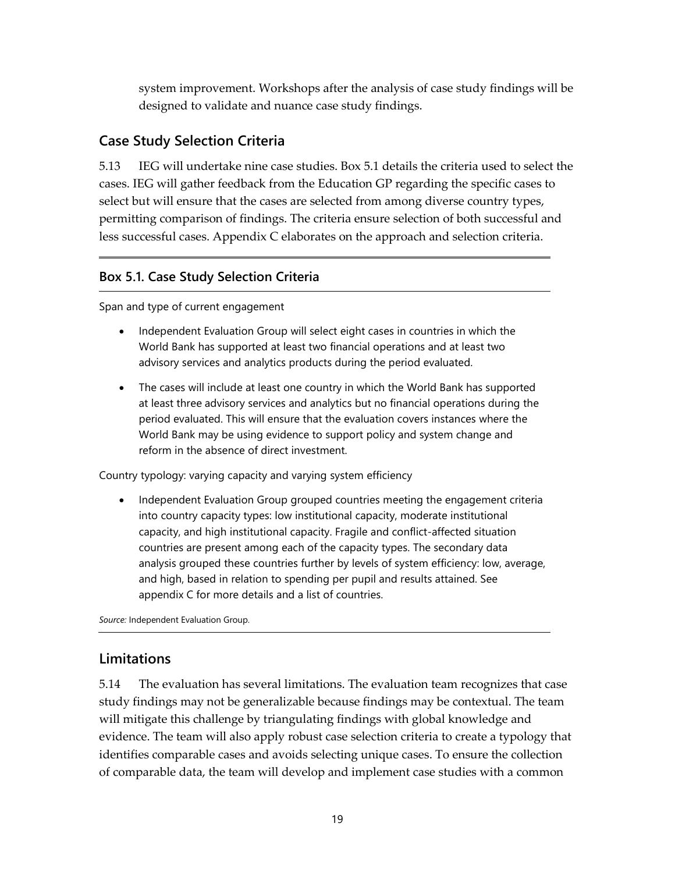system improvement. Workshops after the analysis of case study findings will be designed to validate and nuance case study findings.

### **Case Study Selection Criteria**

5.13 IEG will undertake nine case studies. Box 5.1 details the criteria used to select the cases. IEG will gather feedback from the Education GP regarding the specific cases to select but will ensure that the cases are selected from among diverse country types, permitting comparison of findings. The criteria ensure selection of both successful and less successful cases. Appendix C elaborates on the approach and selection criteria.

### **Box 5.1. Case Study Selection Criteria**

Span and type of current engagement

- Independent Evaluation Group will select eight cases in countries in which the World Bank has supported at least two financial operations and at least two advisory services and analytics products during the period evaluated.
- The cases will include at least one country in which the World Bank has supported at least three advisory services and analytics but no financial operations during the period evaluated. This will ensure that the evaluation covers instances where the World Bank may be using evidence to support policy and system change and reform in the absence of direct investment.

Country typology: varying capacity and varying system efficiency

• Independent Evaluation Group grouped countries meeting the engagement criteria into country capacity types: low institutional capacity, moderate institutional capacity, and high institutional capacity. Fragile and conflict-affected situation countries are present among each of the capacity types. The secondary data analysis grouped these countries further by levels of system efficiency: low, average, and high, based in relation to spending per pupil and results attained. See appendix C for more details and a list of countries.

*Source:* Independent Evaluation Group.

### **Limitations**

5.14 The evaluation has several limitations. The evaluation team recognizes that case study findings may not be generalizable because findings may be contextual. The team will mitigate this challenge by triangulating findings with global knowledge and evidence. The team will also apply robust case selection criteria to create a typology that identifies comparable cases and avoids selecting unique cases. To ensure the collection of comparable data, the team will develop and implement case studies with a common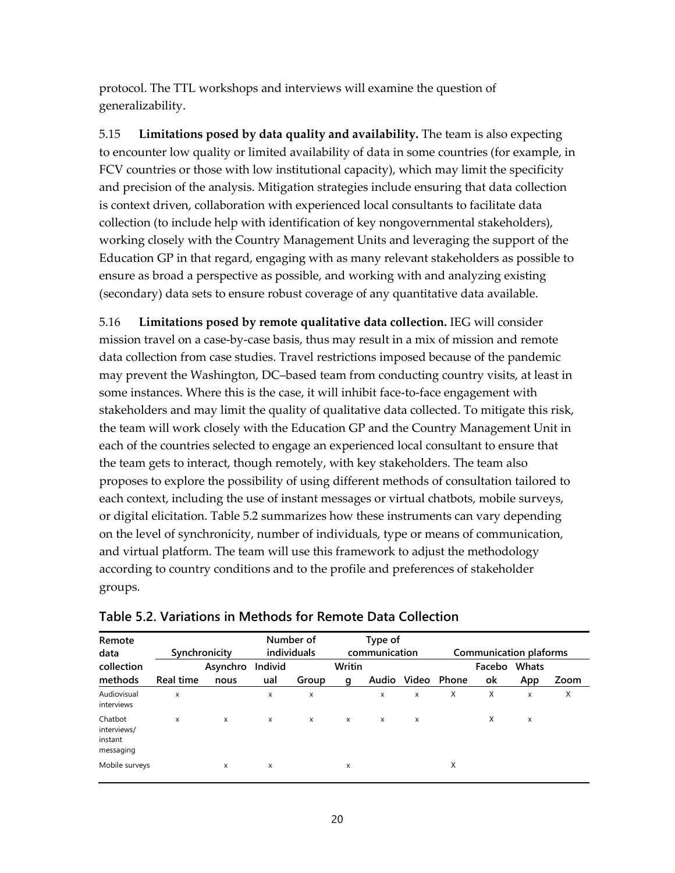protocol. The TTL workshops and interviews will examine the question of generalizability.

5.15 **Limitations posed by data quality and availability.** The team is also expecting to encounter low quality or limited availability of data in some countries (for example, in FCV countries or those with low institutional capacity), which may limit the specificity and precision of the analysis. Mitigation strategies include ensuring that data collection is context driven, collaboration with experienced local consultants to facilitate data collection (to include help with identification of key nongovernmental stakeholders), working closely with the Country Management Units and leveraging the support of the Education GP in that regard, engaging with as many relevant stakeholders as possible to ensure as broad a perspective as possible, and working with and analyzing existing (secondary) data sets to ensure robust coverage of any quantitative data available.

5.16 **Limitations posed by remote qualitative data collection.** IEG will consider mission travel on a case-by-case basis, thus may result in a mix of mission and remote data collection from case studies. Travel restrictions imposed because of the pandemic may prevent the Washington, DC–based team from conducting country visits, at least in some instances. Where this is the case, it will inhibit face-to-face engagement with stakeholders and may limit the quality of qualitative data collected. To mitigate this risk, the team will work closely with the Education GP and the Country Management Unit in each of the countries selected to engage an experienced local consultant to ensure that the team gets to interact, though remotely, with key stakeholders. The team also proposes to explore the possibility of using different methods of consultation tailored to each context, including the use of instant messages or virtual chatbots, mobile surveys, or digital elicitation. Table 5.2 summarizes how these instruments can vary depending on the level of synchronicity, number of individuals, type or means of communication, and virtual platform. The team will use this framework to adjust the methodology according to country conditions and to the profile and preferences of stakeholder groups.

| Remote<br>data                                 |           | Synchronicity    |                | Number of<br>individuals |             | Type of<br>communication |   |                   | Communication plaforms |                     |      |
|------------------------------------------------|-----------|------------------|----------------|--------------------------|-------------|--------------------------|---|-------------------|------------------------|---------------------|------|
| collection<br>methods                          | Real time | Asynchro<br>nous | Individ<br>ual | Group                    | Writin<br>q |                          |   | Audio Video Phone | Facebo<br>οk           | <b>Whats</b><br>App | Zoom |
| Audiovisual<br>interviews                      | x         |                  | X              | x                        |             | X                        | X | X                 | X                      | X                   | X    |
| Chatbot<br>interviews/<br>instant<br>messaging | x         | X                | X              | Х                        | X           | $\mathsf{x}$             | X |                   | X                      | x                   |      |
| Mobile surveys                                 |           | X                | X              |                          | x           |                          |   | X                 |                        |                     |      |

### **Table 5.2. Variations in Methods for Remote Data Collection**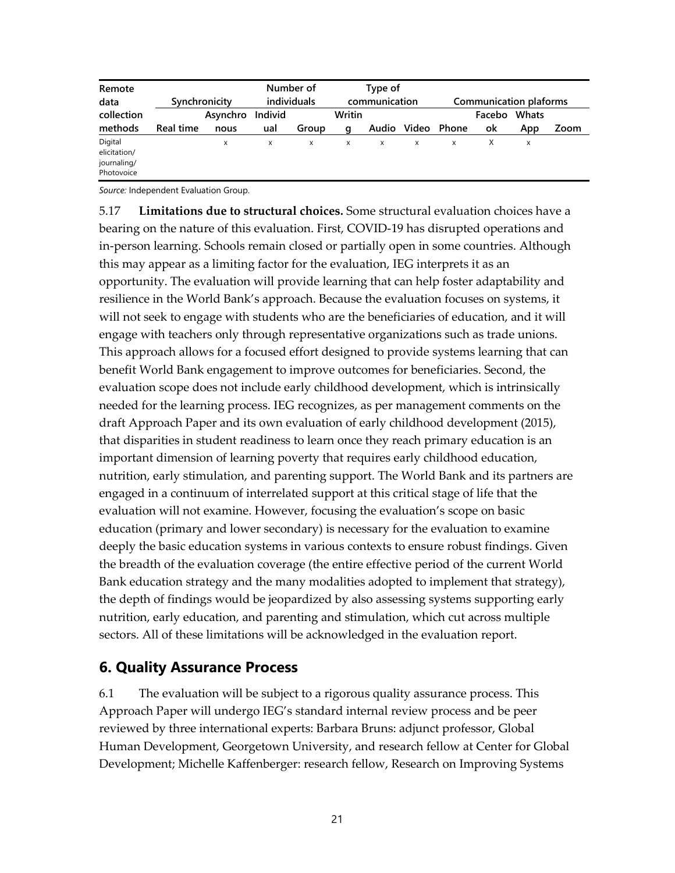| Remote<br>data            |           | Synchronicity |         | Number of<br>individuals |        | Type of<br>communication |             |       | <b>Communication plaforms</b> |     |      |
|---------------------------|-----------|---------------|---------|--------------------------|--------|--------------------------|-------------|-------|-------------------------------|-----|------|
| collection                |           | Asynchro      | Individ |                          | Writin |                          |             |       | Facebo Whats                  |     |      |
| methods                   | Real time | nous          | ual     | Group                    | a      |                          | Audio Video | Phone | ok                            | App | Zoom |
| Digital<br>elicitation/   |           | X             | x       | x                        | x      | x                        | x           | x     | X                             | x   |      |
| journaling/<br>Photovoice |           |               |         |                          |        |                          |             |       |                               |     |      |

*Source:* Independent Evaluation Group.

5.17 **Limitations due to structural choices.** Some structural evaluation choices have a bearing on the nature of this evaluation. First, COVID-19 has disrupted operations and in-person learning. Schools remain closed or partially open in some countries. Although this may appear as a limiting factor for the evaluation, IEG interprets it as an opportunity. The evaluation will provide learning that can help foster adaptability and resilience in the World Bank's approach. Because the evaluation focuses on systems, it will not seek to engage with students who are the beneficiaries of education, and it will engage with teachers only through representative organizations such as trade unions. This approach allows for a focused effort designed to provide systems learning that can benefit World Bank engagement to improve outcomes for beneficiaries. Second, the evaluation scope does not include early childhood development, which is intrinsically needed for the learning process. IEG recognizes, as per management comments on the draft Approach Paper and its own evaluation of early childhood development (2015), that disparities in student readiness to learn once they reach primary education is an important dimension of learning poverty that requires early childhood education, nutrition, early stimulation, and parenting support. The World Bank and its partners are engaged in a continuum of interrelated support at this critical stage of life that the evaluation will not examine. However, focusing the evaluation's scope on basic education (primary and lower secondary) is necessary for the evaluation to examine deeply the basic education systems in various contexts to ensure robust findings. Given the breadth of the evaluation coverage (the entire effective period of the current World Bank education strategy and the many modalities adopted to implement that strategy), the depth of findings would be jeopardized by also assessing systems supporting early nutrition, early education, and parenting and stimulation, which cut across multiple sectors. All of these limitations will be acknowledged in the evaluation report.

### **6. Quality Assurance Process**

6.1 The evaluation will be subject to a rigorous quality assurance process. This Approach Paper will undergo IEG's standard internal review process and be peer reviewed by three international experts: Barbara Bruns: adjunct professor, Global Human Development, Georgetown University, and research fellow at Center for Global Development; Michelle Kaffenberger: research fellow, Research on Improving Systems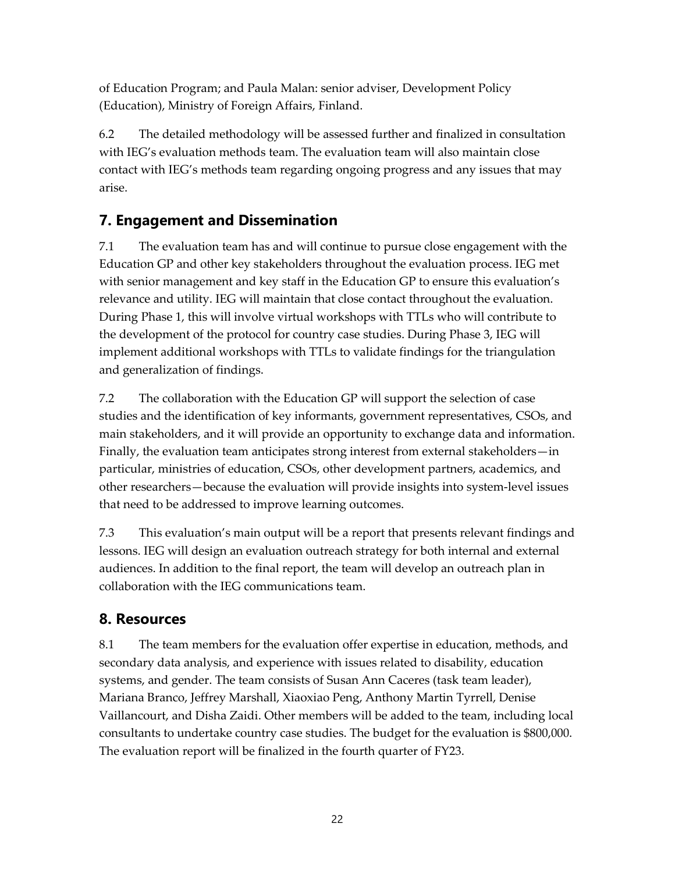of Education Program; and Paula Malan: senior adviser, Development Policy (Education), Ministry of Foreign Affairs, Finland.

6.2 The detailed methodology will be assessed further and finalized in consultation with IEG's evaluation methods team. The evaluation team will also maintain close contact with IEG's methods team regarding ongoing progress and any issues that may arise.

## **7. Engagement and Dissemination**

7.1 The evaluation team has and will continue to pursue close engagement with the Education GP and other key stakeholders throughout the evaluation process. IEG met with senior management and key staff in the Education GP to ensure this evaluation's relevance and utility. IEG will maintain that close contact throughout the evaluation. During Phase 1, this will involve virtual workshops with TTLs who will contribute to the development of the protocol for country case studies. During Phase 3, IEG will implement additional workshops with TTLs to validate findings for the triangulation and generalization of findings.

7.2 The collaboration with the Education GP will support the selection of case studies and the identification of key informants, government representatives, CSOs, and main stakeholders, and it will provide an opportunity to exchange data and information. Finally, the evaluation team anticipates strong interest from external stakeholders—in particular, ministries of education, CSOs, other development partners, academics, and other researchers—because the evaluation will provide insights into system-level issues that need to be addressed to improve learning outcomes.

7.3 This evaluation's main output will be a report that presents relevant findings and lessons. IEG will design an evaluation outreach strategy for both internal and external audiences. In addition to the final report, the team will develop an outreach plan in collaboration with the IEG communications team.

## **8. Resources**

8.1 The team members for the evaluation offer expertise in education, methods, and secondary data analysis, and experience with issues related to disability, education systems, and gender. The team consists of Susan Ann Caceres (task team leader), Mariana Branco, Jeffrey Marshall, Xiaoxiao Peng, Anthony Martin Tyrrell, Denise Vaillancourt, and Disha Zaidi. Other members will be added to the team, including local consultants to undertake country case studies. The budget for the evaluation is \$800,000. The evaluation report will be finalized in the fourth quarter of FY23.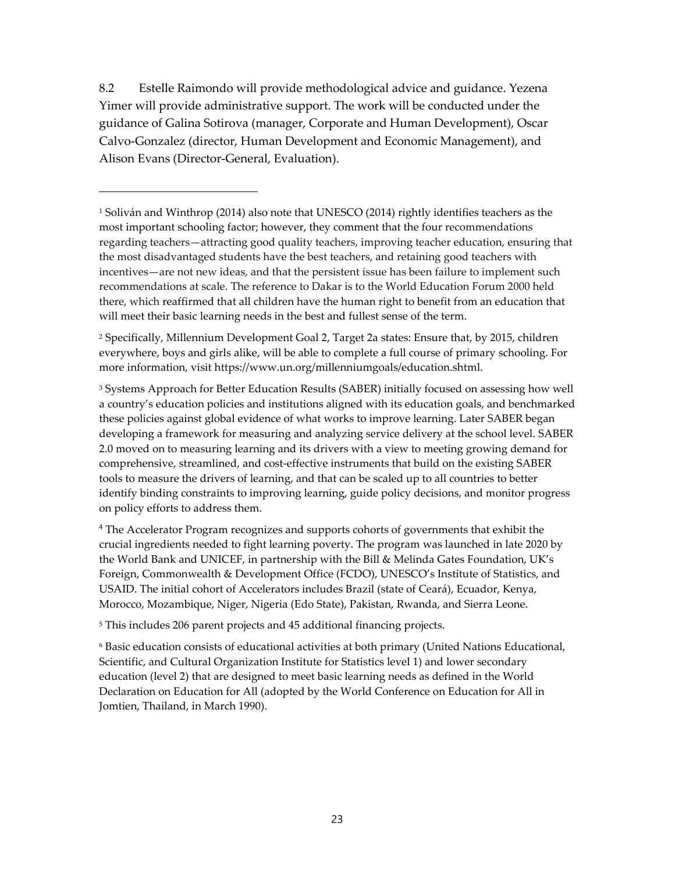8.2 Estelle Raimondo will provide methodological advice and guidance. Yezena Yimer will provide administrative support. The work will be conducted under the guidance of Galina Sotirova (manager, Corporate and Human Development), Oscar Calvo-Gonzalez (director, Human Development and Economic Management), and Alison Evans (Director-General, Evaluation).

<span id="page-22-1"></span><sup>2</sup> Specifically, Millennium Development Goal 2, Target 2a states: Ensure that, by 2015, children everywhere, boys and girls alike, will be able to complete a full course of primary schooling. For more information, visit https://www.un.org/millenniumgoals/education.shtml.

<span id="page-22-2"></span><sup>3</sup> Systems Approach for Better Education Results (SABER) initially focused on assessing how well a country's education policies and institutions aligned with its education goals, and benchmarked these policies against global evidence of what works to improve learning. Later SABER began developing a framework for measuring and analyzing service delivery at the school level. SABER 2.0 moved on to measuring learning and its drivers with a view to meeting growing demand for comprehensive, streamlined, and cost-effective instruments that build on the existing SABER tools to measure the drivers of learning, and that can be scaled up to all countries to better identify binding constraints to improving learning, guide policy decisions, and monitor progress on policy efforts to address them.

<span id="page-22-3"></span><sup>4</sup> The Accelerator Program recognizes and supports cohorts of governments that exhibit the crucial ingredients needed to fight learning poverty. The program was launched in late 2020 by the World Bank and UNICEF, in partnership with the Bill & Melinda Gates Foundation, UK's Foreign, Commonwealth & Development Office (FCDO), UNESCO's Institute of Statistics, and USAID. The initial cohort of Accelerators includes Brazil (state of Ceará), Ecuador, Kenya, Morocco, Mozambique, Niger, Nigeria (Edo State), Pakistan, Rwanda, and Sierra Leone.

<span id="page-22-4"></span><sup>5</sup> This includes 206 parent projects and 45 additional financing projects.

<span id="page-22-5"></span><sup>6</sup> Basic education consists of educational activities at both primary (United Nations Educational, Scientific, and Cultural Organization Institute for Statistics level 1) and lower secondary education (level 2) that are designed to meet basic learning needs as defined in the World Declaration on Education for All (adopted by the World Conference on Education for All in Jomtien, Thailand, in March 1990).

<span id="page-22-0"></span><sup>1</sup> Soliván and Winthrop (2014) also note that UNESCO (2014) rightly identifies teachers as the most important schooling factor; however, they comment that the four recommendations regarding teachers—attracting good quality teachers, improving teacher education, ensuring that the most disadvantaged students have the best teachers, and retaining good teachers with incentives—are not new ideas, and that the persistent issue has been failure to implement such recommendations at scale. The reference to Dakar is to the World Education Forum 2000 held there, which reaffirmed that all children have the human right to benefit from an education that will meet their basic learning needs in the best and fullest sense of the term.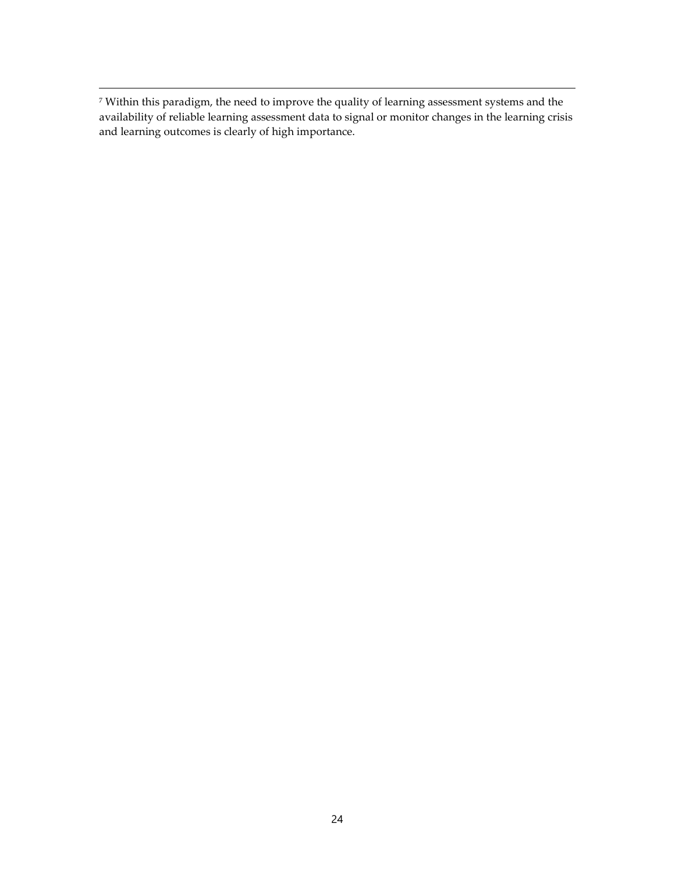<span id="page-23-0"></span><sup>7</sup> Within this paradigm, the need to improve the quality of learning assessment systems and the availability of reliable learning assessment data to signal or monitor changes in the learning crisis and learning outcomes is clearly of high importance.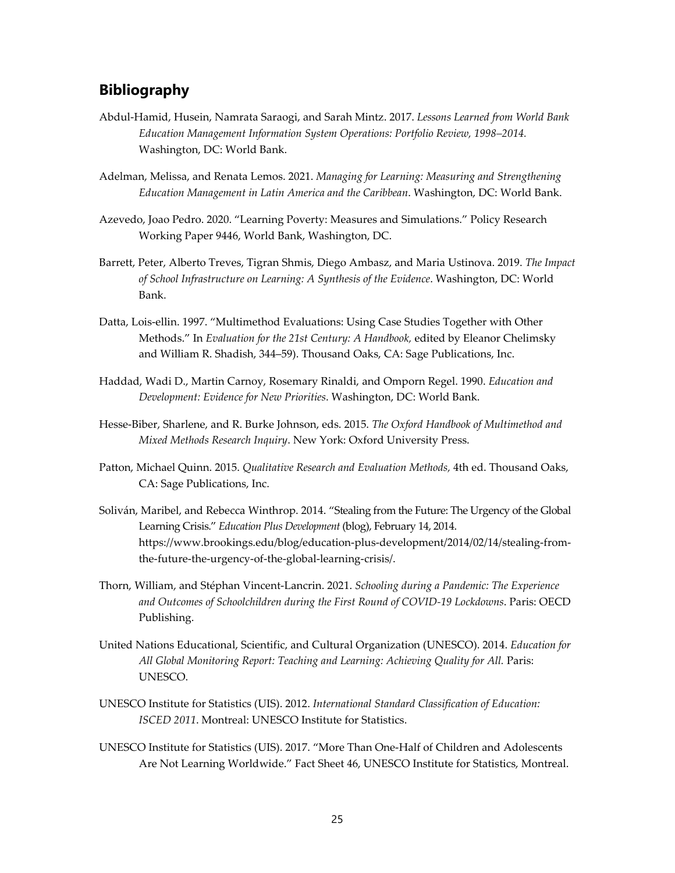### **Bibliography**

- Abdul-Hamid, Husein, Namrata Saraogi, and Sarah Mintz. 2017. *Lessons Learned from World Bank Education Management Information System Operations: Portfolio Review, 1998–2014.*  Washington, DC: World Bank.
- Adelman, Melissa, and Renata Lemos. 2021. *Managing for Learning: Measuring and Strengthening Education Management in Latin America and the Caribbean*. Washington, DC: World Bank.
- Azevedo, Joao Pedro. 2020. "Learning Poverty: Measures and Simulations." Policy Research Working Paper 9446, World Bank, Washington, DC.
- Barrett, Peter, Alberto Treves, Tigran Shmis, Diego Ambasz, and Maria Ustinova. 2019. *The Impact of School Infrastructure on Learning: A Synthesis of the Evidence*. Washington, DC: World Bank.
- Datta, Lois-ellin. 1997. "Multimethod Evaluations: Using Case Studies Together with Other Methods." In *Evaluation for the 21st Century: A Handbook,* edited by Eleanor Chelimsky and William R. Shadish, 344–59). Thousand Oaks, CA: Sage Publications, Inc.
- Haddad, Wadi D., Martin Carnoy, Rosemary Rinaldi, and Omporn Regel. 1990. *Education and Development: Evidence for New Priorities*. Washington, DC: World Bank.
- Hesse-Biber, Sharlene, and R. Burke Johnson, eds. 2015. *The Oxford Handbook of Multimethod and Mixed Methods Research Inquiry*. New York: Oxford University Press.
- Patton, Michael Quinn. 2015. *Qualitative Research and Evaluation Methods,* 4th ed. Thousand Oaks, CA: Sage Publications, Inc.
- Soliván, Maribel, and Rebecca Winthrop. 2014. "Stealing from the Future: The Urgency of the Global Learning Crisis." *Education Plus Development* (blog), February 14, 2014. https://www.brookings.edu/blog/education-plus-development/2014/02/14/stealing-fromthe-future-the-urgency-of-the-global-learning-crisis/.
- Thorn, William, and Stéphan Vincent-Lancrin. 2021. *Schooling during a Pandemic: The Experience and Outcomes of Schoolchildren during the First Round of COVID-19 Lockdowns*. Paris: OECD Publishing.
- United Nations Educational, Scientific, and Cultural Organization (UNESCO). 2014. *Education for All Global Monitoring Report: Teaching and Learning: Achieving Quality for All.* Paris: UNESCO.
- UNESCO Institute for Statistics (UIS). 2012. *International Standard Classification of Education: ISCED 2011*. Montreal: UNESCO Institute for Statistics.
- UNESCO Institute for Statistics (UIS). 2017. "More Than One-Half of Children and Adolescents Are Not Learning Worldwide." Fact Sheet 46, UNESCO Institute for Statistics, Montreal.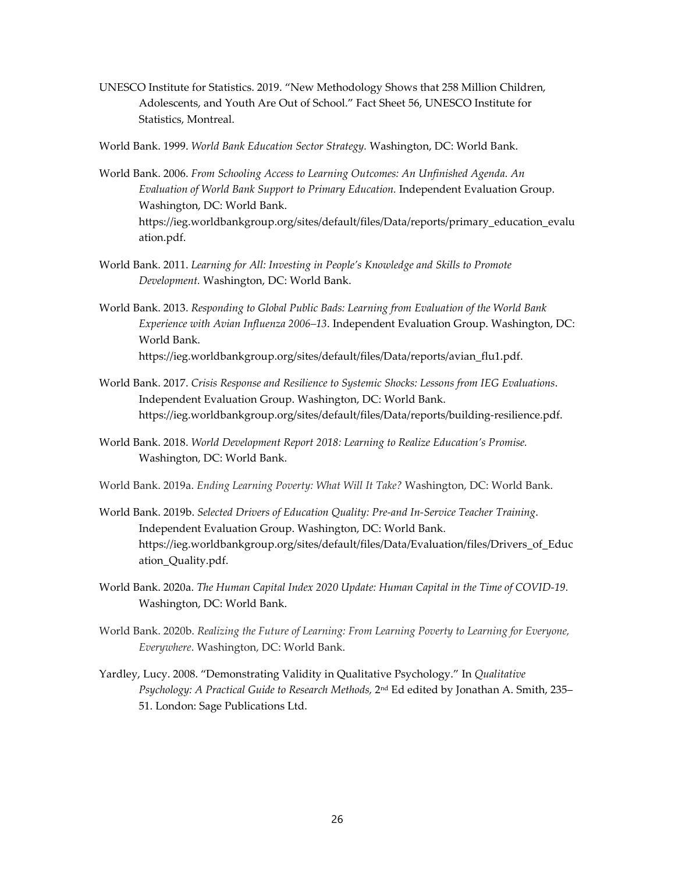UNESCO Institute for Statistics. 2019. "New Methodology Shows that 258 Million Children, Adolescents, and Youth Are Out of School." Fact Sheet 56, UNESCO Institute for Statistics, Montreal.

World Bank. 1999. *World Bank Education Sector Strategy.* Washington, DC: World Bank.

- World Bank. 2006. *From Schooling Access to Learning Outcomes: An Unfinished Agenda. An Evaluation of World Bank Support to Primary Education.* Independent Evaluation Group. Washington, DC: World Bank. https://ieg.worldbankgroup.org/sites/default/files/Data/reports/primary\_education\_evalu ation.pdf.
- World Bank. 2011. *Learning for All: Investing in People's Knowledge and Skills to Promote Development.* Washington, DC: World Bank.
- World Bank. 2013. *Responding to Global Public Bads: Learning from Evaluation of the World Bank Experience with Avian Influenza 2006–13*. Independent Evaluation Group. Washington, DC: World Bank. https://ieg.worldbankgroup.org/sites/default/files/Data/reports/avian\_flu1.pdf.
- World Bank. 2017. *Crisis Response and Resilience to Systemic Shocks: Lessons from IEG Evaluations*. Independent Evaluation Group. Washington, DC: World Bank. https://ieg.worldbankgroup.org/sites/default/files/Data/reports/building-resilience.pdf.
- World Bank. 2018. *World Development Report 2018: Learning to Realize Education's Promise.* Washington, DC: World Bank.
- World Bank. 2019a. *Ending Learning Poverty: What Will It Take?* Washington, DC: World Bank.
- World Bank. 2019b. *Selected Drivers of Education Quality: Pre-and In-Service Teacher Training*. Independent Evaluation Group. Washington, DC: World Bank. https://ieg.worldbankgroup.org/sites/default/files/Data/Evaluation/files/Drivers\_of\_Educ ation\_Quality.pdf.
- World Bank. 2020a. *The Human Capital Index 2020 Update: Human Capital in the Time of COVID-19.* Washington, DC: World Bank.
- World Bank. 2020b. *Realizing the Future of Learning: From Learning Poverty to Learning for Everyone, Everywhere*. Washington, DC: World Bank.
- Yardley, Lucy. 2008. "Demonstrating Validity in Qualitative Psychology." In *Qualitative Psychology: A Practical Guide to Research Methods,* 2nd Ed edited by Jonathan A. Smith, 235– 51. London: Sage Publications Ltd.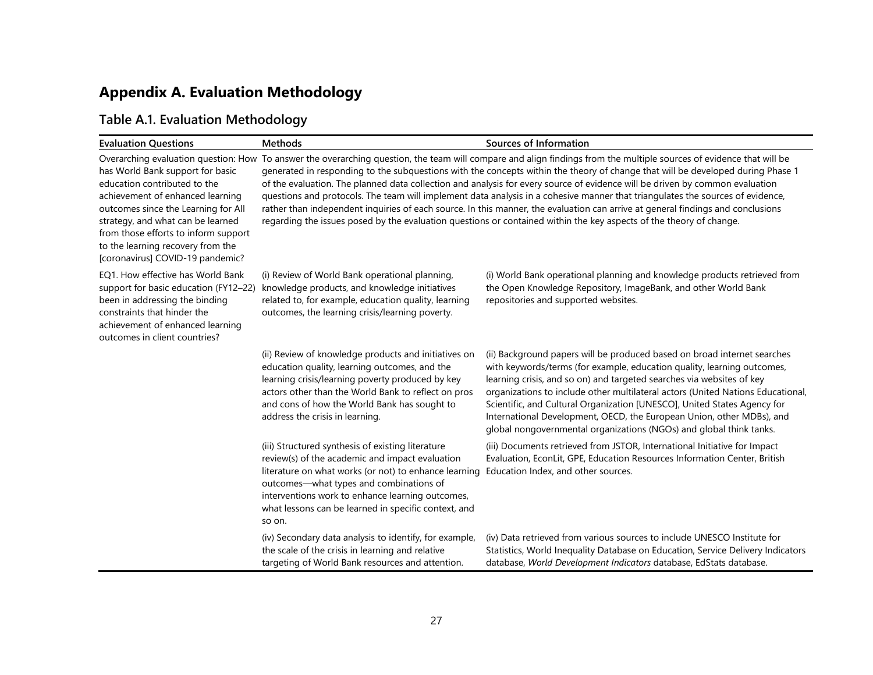# **Appendix A. Evaluation Methodology**

## **Table A.1. Evaluation Methodology**

| <b>Evaluation Questions</b>                                                                                                                                                                                                                                                                       | <b>Methods</b>                                                                                                                                                                                                                                                                                                                 | Sources of Information                                                                                                                                                                                                                                                                                                                                                                                                                                                                                                                                                                                                                                                                                                                                                                                                              |
|---------------------------------------------------------------------------------------------------------------------------------------------------------------------------------------------------------------------------------------------------------------------------------------------------|--------------------------------------------------------------------------------------------------------------------------------------------------------------------------------------------------------------------------------------------------------------------------------------------------------------------------------|-------------------------------------------------------------------------------------------------------------------------------------------------------------------------------------------------------------------------------------------------------------------------------------------------------------------------------------------------------------------------------------------------------------------------------------------------------------------------------------------------------------------------------------------------------------------------------------------------------------------------------------------------------------------------------------------------------------------------------------------------------------------------------------------------------------------------------------|
| has World Bank support for basic<br>education contributed to the<br>achievement of enhanced learning<br>outcomes since the Learning for All<br>strategy, and what can be learned<br>from those efforts to inform support<br>to the learning recovery from the<br>[coronavirus] COVID-19 pandemic? |                                                                                                                                                                                                                                                                                                                                | Overarching evaluation question: How To answer the overarching question, the team will compare and align findings from the multiple sources of evidence that will be<br>generated in responding to the subquestions with the concepts within the theory of change that will be developed during Phase 1<br>of the evaluation. The planned data collection and analysis for every source of evidence will be driven by common evaluation<br>questions and protocols. The team will implement data analysis in a cohesive manner that triangulates the sources of evidence,<br>rather than independent inquiries of each source. In this manner, the evaluation can arrive at general findings and conclusions<br>regarding the issues posed by the evaluation questions or contained within the key aspects of the theory of change. |
| EQ1. How effective has World Bank<br>support for basic education (FY12-22)<br>been in addressing the binding<br>constraints that hinder the<br>achievement of enhanced learning<br>outcomes in client countries?                                                                                  | (i) Review of World Bank operational planning,<br>knowledge products, and knowledge initiatives<br>related to, for example, education quality, learning<br>outcomes, the learning crisis/learning poverty.                                                                                                                     | (i) World Bank operational planning and knowledge products retrieved from<br>the Open Knowledge Repository, ImageBank, and other World Bank<br>repositories and supported websites.                                                                                                                                                                                                                                                                                                                                                                                                                                                                                                                                                                                                                                                 |
|                                                                                                                                                                                                                                                                                                   | (ii) Review of knowledge products and initiatives on<br>education quality, learning outcomes, and the<br>learning crisis/learning poverty produced by key<br>actors other than the World Bank to reflect on pros<br>and cons of how the World Bank has sought to<br>address the crisis in learning.                            | (ii) Background papers will be produced based on broad internet searches<br>with keywords/terms (for example, education quality, learning outcomes,<br>learning crisis, and so on) and targeted searches via websites of key<br>organizations to include other multilateral actors (United Nations Educational,<br>Scientific, and Cultural Organization [UNESCO], United States Agency for<br>International Development, OECD, the European Union, other MDBs), and<br>global nongovernmental organizations (NGOs) and global think tanks.                                                                                                                                                                                                                                                                                         |
|                                                                                                                                                                                                                                                                                                   | (iii) Structured synthesis of existing literature<br>review(s) of the academic and impact evaluation<br>literature on what works (or not) to enhance learning<br>outcomes-what types and combinations of<br>interventions work to enhance learning outcomes,<br>what lessons can be learned in specific context, and<br>so on. | (iii) Documents retrieved from JSTOR, International Initiative for Impact<br>Evaluation, EconLit, GPE, Education Resources Information Center, British<br>Education Index, and other sources.                                                                                                                                                                                                                                                                                                                                                                                                                                                                                                                                                                                                                                       |
|                                                                                                                                                                                                                                                                                                   | (iv) Secondary data analysis to identify, for example,<br>the scale of the crisis in learning and relative<br>targeting of World Bank resources and attention.                                                                                                                                                                 | (iv) Data retrieved from various sources to include UNESCO Institute for<br>Statistics, World Inequality Database on Education, Service Delivery Indicators<br>database, World Development Indicators database, EdStats database.                                                                                                                                                                                                                                                                                                                                                                                                                                                                                                                                                                                                   |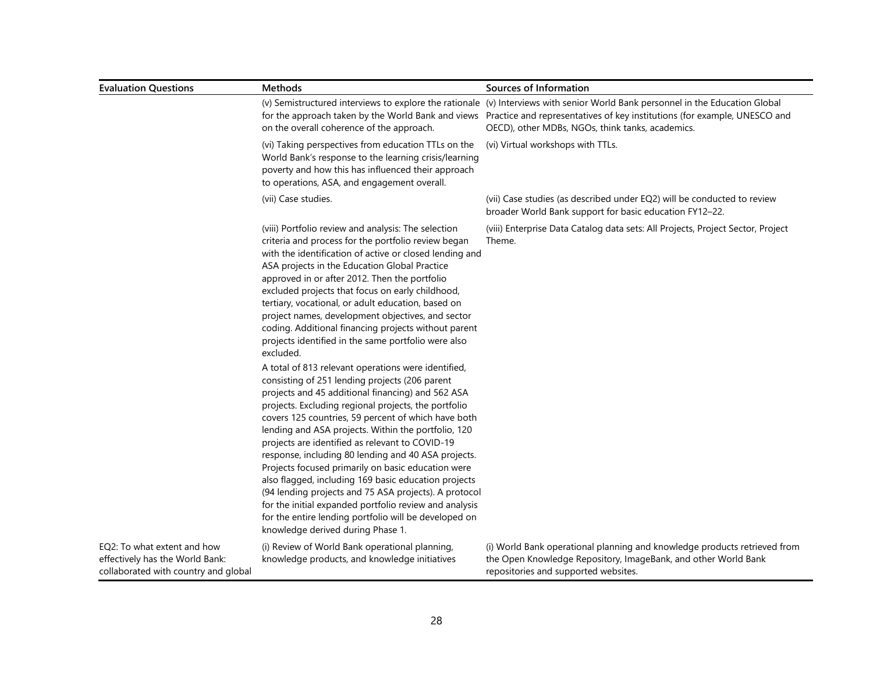| <b>Evaluation Questions</b>                                                                            | Methods                                                                                                                                                                                                                                                                                                                                                                                                                                                                                                                                                                                                                                                                                                                                                                   | Sources of Information                                                                                                                                                                                                                                                                                             |
|--------------------------------------------------------------------------------------------------------|---------------------------------------------------------------------------------------------------------------------------------------------------------------------------------------------------------------------------------------------------------------------------------------------------------------------------------------------------------------------------------------------------------------------------------------------------------------------------------------------------------------------------------------------------------------------------------------------------------------------------------------------------------------------------------------------------------------------------------------------------------------------------|--------------------------------------------------------------------------------------------------------------------------------------------------------------------------------------------------------------------------------------------------------------------------------------------------------------------|
|                                                                                                        | on the overall coherence of the approach.                                                                                                                                                                                                                                                                                                                                                                                                                                                                                                                                                                                                                                                                                                                                 | (v) Semistructured interviews to explore the rationale (v) Interviews with senior World Bank personnel in the Education Global<br>for the approach taken by the World Bank and views Practice and representatives of key institutions (for example, UNESCO and<br>OECD), other MDBs, NGOs, think tanks, academics. |
|                                                                                                        | (vi) Taking perspectives from education TTLs on the<br>World Bank's response to the learning crisis/learning<br>poverty and how this has influenced their approach<br>to operations, ASA, and engagement overall.                                                                                                                                                                                                                                                                                                                                                                                                                                                                                                                                                         | (vi) Virtual workshops with TTLs.                                                                                                                                                                                                                                                                                  |
|                                                                                                        | (vii) Case studies.                                                                                                                                                                                                                                                                                                                                                                                                                                                                                                                                                                                                                                                                                                                                                       | (vii) Case studies (as described under EQ2) will be conducted to review<br>broader World Bank support for basic education FY12-22.                                                                                                                                                                                 |
|                                                                                                        | (viii) Portfolio review and analysis: The selection<br>criteria and process for the portfolio review began<br>with the identification of active or closed lending and<br>ASA projects in the Education Global Practice<br>approved in or after 2012. Then the portfolio<br>excluded projects that focus on early childhood,<br>tertiary, vocational, or adult education, based on<br>project names, development objectives, and sector<br>coding. Additional financing projects without parent<br>projects identified in the same portfolio were also<br>excluded.                                                                                                                                                                                                        | (viii) Enterprise Data Catalog data sets: All Projects, Project Sector, Project<br>Theme.                                                                                                                                                                                                                          |
|                                                                                                        | A total of 813 relevant operations were identified,<br>consisting of 251 lending projects (206 parent<br>projects and 45 additional financing) and 562 ASA<br>projects. Excluding regional projects, the portfolio<br>covers 125 countries, 59 percent of which have both<br>lending and ASA projects. Within the portfolio, 120<br>projects are identified as relevant to COVID-19<br>response, including 80 lending and 40 ASA projects.<br>Projects focused primarily on basic education were<br>also flagged, including 169 basic education projects<br>(94 lending projects and 75 ASA projects). A protocol<br>for the initial expanded portfolio review and analysis<br>for the entire lending portfolio will be developed on<br>knowledge derived during Phase 1. |                                                                                                                                                                                                                                                                                                                    |
| EQ2: To what extent and how<br>effectively has the World Bank:<br>collaborated with country and global | (i) Review of World Bank operational planning,<br>knowledge products, and knowledge initiatives                                                                                                                                                                                                                                                                                                                                                                                                                                                                                                                                                                                                                                                                           | (i) World Bank operational planning and knowledge products retrieved from<br>the Open Knowledge Repository, ImageBank, and other World Bank<br>repositories and supported websites.                                                                                                                                |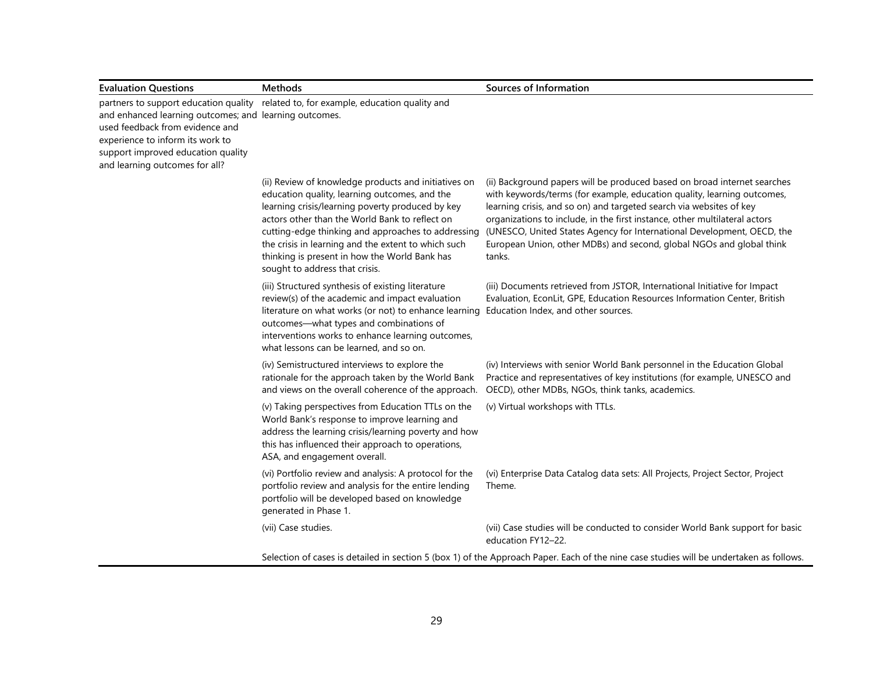| <b>Evaluation Questions</b>                                                                                                                                                                           | <b>Methods</b>                                                                                                                                                                                                                                                                                                                                                                                              | Sources of Information                                                                                                                                                                                                                                                                                                                                                                                                                                               |
|-------------------------------------------------------------------------------------------------------------------------------------------------------------------------------------------------------|-------------------------------------------------------------------------------------------------------------------------------------------------------------------------------------------------------------------------------------------------------------------------------------------------------------------------------------------------------------------------------------------------------------|----------------------------------------------------------------------------------------------------------------------------------------------------------------------------------------------------------------------------------------------------------------------------------------------------------------------------------------------------------------------------------------------------------------------------------------------------------------------|
| and enhanced learning outcomes; and learning outcomes.<br>used feedback from evidence and<br>experience to inform its work to<br>support improved education quality<br>and learning outcomes for all? | partners to support education quality related to, for example, education quality and                                                                                                                                                                                                                                                                                                                        |                                                                                                                                                                                                                                                                                                                                                                                                                                                                      |
|                                                                                                                                                                                                       | (ii) Review of knowledge products and initiatives on<br>education quality, learning outcomes, and the<br>learning crisis/learning poverty produced by key<br>actors other than the World Bank to reflect on<br>cutting-edge thinking and approaches to addressing<br>the crisis in learning and the extent to which such<br>thinking is present in how the World Bank has<br>sought to address that crisis. | (ii) Background papers will be produced based on broad internet searches<br>with keywords/terms (for example, education quality, learning outcomes,<br>learning crisis, and so on) and targeted search via websites of key<br>organizations to include, in the first instance, other multilateral actors<br>(UNESCO, United States Agency for International Development, OECD, the<br>European Union, other MDBs) and second, global NGOs and global think<br>tanks. |
|                                                                                                                                                                                                       | (iii) Structured synthesis of existing literature<br>review(s) of the academic and impact evaluation<br>literature on what works (or not) to enhance learning<br>outcomes-what types and combinations of<br>interventions works to enhance learning outcomes,<br>what lessons can be learned, and so on.                                                                                                    | (iii) Documents retrieved from JSTOR, International Initiative for Impact<br>Evaluation, EconLit, GPE, Education Resources Information Center, British<br>Education Index, and other sources.                                                                                                                                                                                                                                                                        |
|                                                                                                                                                                                                       | (iv) Semistructured interviews to explore the<br>rationale for the approach taken by the World Bank<br>and views on the overall coherence of the approach.                                                                                                                                                                                                                                                  | (iv) Interviews with senior World Bank personnel in the Education Global<br>Practice and representatives of key institutions (for example, UNESCO and<br>OECD), other MDBs, NGOs, think tanks, academics.                                                                                                                                                                                                                                                            |
|                                                                                                                                                                                                       | (v) Taking perspectives from Education TTLs on the<br>World Bank's response to improve learning and<br>address the learning crisis/learning poverty and how<br>this has influenced their approach to operations,<br>ASA, and engagement overall.                                                                                                                                                            | (v) Virtual workshops with TTLs.                                                                                                                                                                                                                                                                                                                                                                                                                                     |
|                                                                                                                                                                                                       | (vi) Portfolio review and analysis: A protocol for the<br>portfolio review and analysis for the entire lending<br>portfolio will be developed based on knowledge<br>generated in Phase 1.                                                                                                                                                                                                                   | (vi) Enterprise Data Catalog data sets: All Projects, Project Sector, Project<br>Theme.                                                                                                                                                                                                                                                                                                                                                                              |
|                                                                                                                                                                                                       | (vii) Case studies.                                                                                                                                                                                                                                                                                                                                                                                         | (vii) Case studies will be conducted to consider World Bank support for basic<br>education FY12-22.                                                                                                                                                                                                                                                                                                                                                                  |
|                                                                                                                                                                                                       |                                                                                                                                                                                                                                                                                                                                                                                                             | Selection of cases is detailed in section 5 (box 1) of the Approach Paper. Each of the nine case studies will be undertaken as follows.                                                                                                                                                                                                                                                                                                                              |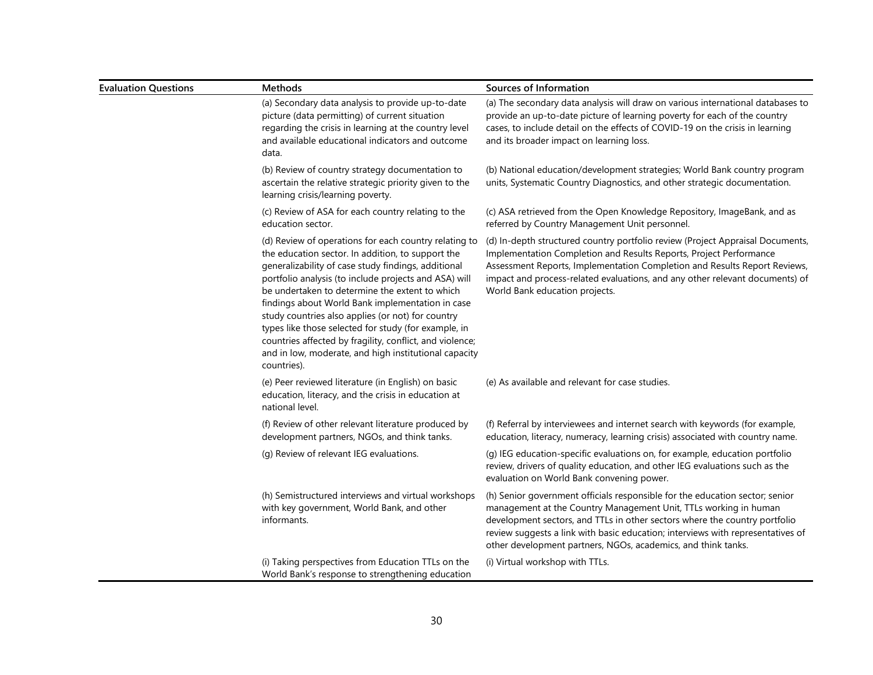| <b>Evaluation Questions</b> | <b>Methods</b>                                                                                                                                                                                                                                                                                                                                                                                                                                                                                                                                                                    | Sources of Information                                                                                                                                                                                                                                                                                                                                                             |
|-----------------------------|-----------------------------------------------------------------------------------------------------------------------------------------------------------------------------------------------------------------------------------------------------------------------------------------------------------------------------------------------------------------------------------------------------------------------------------------------------------------------------------------------------------------------------------------------------------------------------------|------------------------------------------------------------------------------------------------------------------------------------------------------------------------------------------------------------------------------------------------------------------------------------------------------------------------------------------------------------------------------------|
|                             | (a) Secondary data analysis to provide up-to-date<br>picture (data permitting) of current situation<br>regarding the crisis in learning at the country level<br>and available educational indicators and outcome<br>data.                                                                                                                                                                                                                                                                                                                                                         | (a) The secondary data analysis will draw on various international databases to<br>provide an up-to-date picture of learning poverty for each of the country<br>cases, to include detail on the effects of COVID-19 on the crisis in learning<br>and its broader impact on learning loss.                                                                                          |
|                             | (b) Review of country strategy documentation to<br>ascertain the relative strategic priority given to the<br>learning crisis/learning poverty.                                                                                                                                                                                                                                                                                                                                                                                                                                    | (b) National education/development strategies; World Bank country program<br>units, Systematic Country Diagnostics, and other strategic documentation.                                                                                                                                                                                                                             |
|                             | (c) Review of ASA for each country relating to the<br>education sector.                                                                                                                                                                                                                                                                                                                                                                                                                                                                                                           | (c) ASA retrieved from the Open Knowledge Repository, ImageBank, and as<br>referred by Country Management Unit personnel.                                                                                                                                                                                                                                                          |
|                             | (d) Review of operations for each country relating to<br>the education sector. In addition, to support the<br>generalizability of case study findings, additional<br>portfolio analysis (to include projects and ASA) will<br>be undertaken to determine the extent to which<br>findings about World Bank implementation in case<br>study countries also applies (or not) for country<br>types like those selected for study (for example, in<br>countries affected by fragility, conflict, and violence;<br>and in low, moderate, and high institutional capacity<br>countries). | (d) In-depth structured country portfolio review (Project Appraisal Documents,<br>Implementation Completion and Results Reports, Project Performance<br>Assessment Reports, Implementation Completion and Results Report Reviews,<br>impact and process-related evaluations, and any other relevant documents) of<br>World Bank education projects.                                |
|                             | (e) Peer reviewed literature (in English) on basic<br>education, literacy, and the crisis in education at<br>national level.                                                                                                                                                                                                                                                                                                                                                                                                                                                      | (e) As available and relevant for case studies.                                                                                                                                                                                                                                                                                                                                    |
|                             | (f) Review of other relevant literature produced by<br>development partners, NGOs, and think tanks.                                                                                                                                                                                                                                                                                                                                                                                                                                                                               | (f) Referral by interviewees and internet search with keywords (for example,<br>education, literacy, numeracy, learning crisis) associated with country name.                                                                                                                                                                                                                      |
|                             | (g) Review of relevant IEG evaluations.                                                                                                                                                                                                                                                                                                                                                                                                                                                                                                                                           | (g) IEG education-specific evaluations on, for example, education portfolio<br>review, drivers of quality education, and other IEG evaluations such as the<br>evaluation on World Bank convening power.                                                                                                                                                                            |
|                             | (h) Semistructured interviews and virtual workshops<br>with key government, World Bank, and other<br>informants.                                                                                                                                                                                                                                                                                                                                                                                                                                                                  | (h) Senior government officials responsible for the education sector; senior<br>management at the Country Management Unit, TTLs working in human<br>development sectors, and TTLs in other sectors where the country portfolio<br>review suggests a link with basic education; interviews with representatives of<br>other development partners, NGOs, academics, and think tanks. |
|                             | (i) Taking perspectives from Education TTLs on the<br>World Bank's response to strengthening education                                                                                                                                                                                                                                                                                                                                                                                                                                                                            | (i) Virtual workshop with TTLs.                                                                                                                                                                                                                                                                                                                                                    |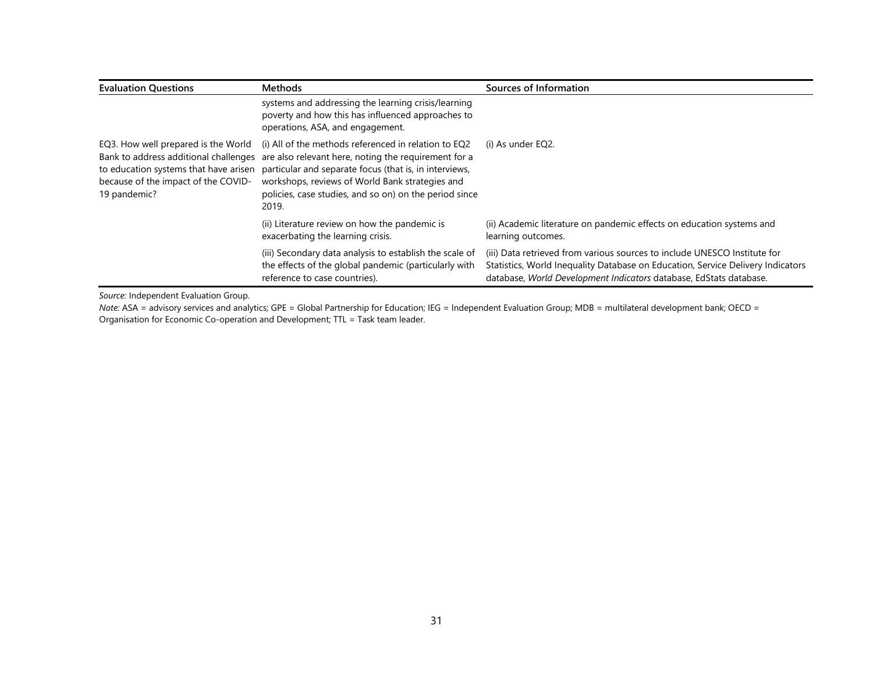| <b>Evaluation Questions</b>                                                                | <b>Methods</b>                                                                                                                                                                                                                                                                                                                                                           | Sources of Information                                                                                                                                                                                                             |
|--------------------------------------------------------------------------------------------|--------------------------------------------------------------------------------------------------------------------------------------------------------------------------------------------------------------------------------------------------------------------------------------------------------------------------------------------------------------------------|------------------------------------------------------------------------------------------------------------------------------------------------------------------------------------------------------------------------------------|
|                                                                                            | systems and addressing the learning crisis/learning<br>poverty and how this has influenced approaches to<br>operations, ASA, and engagement.                                                                                                                                                                                                                             |                                                                                                                                                                                                                                    |
| EQ3. How well prepared is the World<br>because of the impact of the COVID-<br>19 pandemic? | (i) All of the methods referenced in relation to EQ2<br>Bank to address additional challenges are also relevant here, noting the requirement for a<br>to education systems that have arisen particular and separate focus (that is, in interviews,<br>workshops, reviews of World Bank strategies and<br>policies, case studies, and so on) on the period since<br>2019. | (i) As under EQ2.                                                                                                                                                                                                                  |
|                                                                                            | (ii) Literature review on how the pandemic is<br>exacerbating the learning crisis.                                                                                                                                                                                                                                                                                       | (ii) Academic literature on pandemic effects on education systems and<br>learning outcomes.                                                                                                                                        |
|                                                                                            | (iii) Secondary data analysis to establish the scale of<br>the effects of the global pandemic (particularly with<br>reference to case countries).                                                                                                                                                                                                                        | (iii) Data retrieved from various sources to include UNESCO Institute for<br>Statistics, World Inequality Database on Education, Service Delivery Indicators<br>database, World Development Indicators database, EdStats database. |

*Source:* Independent Evaluation Group.

*Note:* ASA = advisory services and analytics; GPE = Global Partnership for Education; IEG = Independent Evaluation Group; MDB = multilateral development bank; OECD = Organisation for Economic Co-operation and Development; TTL = Task team leader.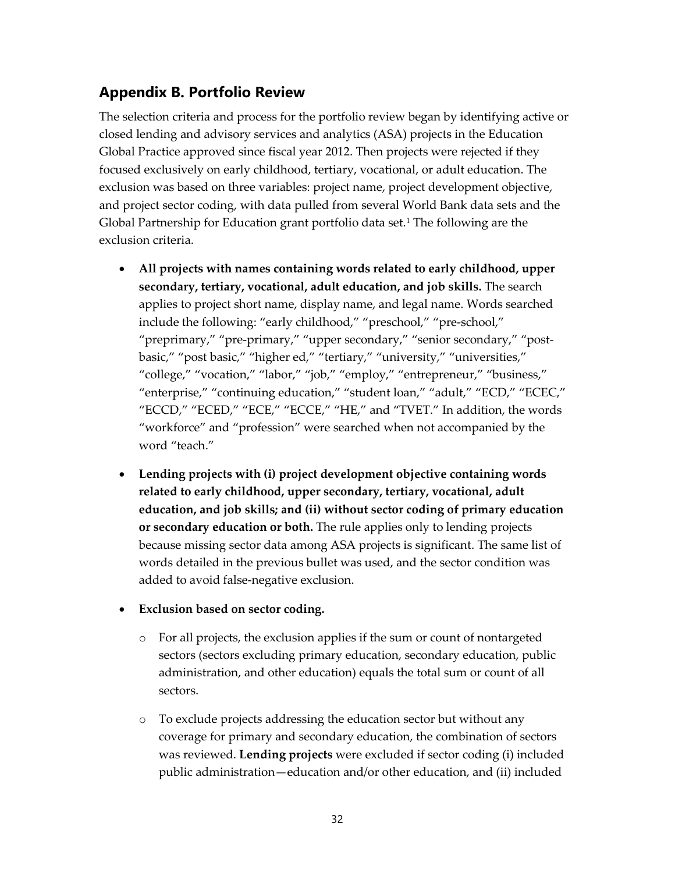## **Appendix B. Portfolio Review**

The selection criteria and process for the portfolio review began by identifying active or closed lending and advisory services and analytics (ASA) projects in the Education Global Practice approved since fiscal year 2012. Then projects were rejected if they focused exclusively on early childhood, tertiary, vocational, or adult education. The exclusion was based on three variables: project name, project development objective, and project sector coding, with data pulled from several World Bank data sets and the Global Partnership for Education grant portfolio data set.<sup>[1](#page-37-0)</sup> The following are the exclusion criteria.

- **All projects with names containing words related to early childhood, upper secondary, tertiary, vocational, adult education, and job skills.** The search applies to project short name, display name, and legal name. Words searched include the following: "early childhood," "preschool," "pre-school," "preprimary," "pre-primary," "upper secondary," "senior secondary," "postbasic," "post basic," "higher ed," "tertiary," "university," "universities," "college," "vocation," "labor," "job," "employ," "entrepreneur," "business," "enterprise," "continuing education," "student loan," "adult," "ECD," "ECEC," "ECCD," "ECED," "ECE," "ECCE," "HE," and "TVET." In addition, the words "workforce" and "profession" were searched when not accompanied by the word "teach."
- **Lending projects with (i) project development objective containing words related to early childhood, upper secondary, tertiary, vocational, adult education, and job skills; and (ii) without sector coding of primary education or secondary education or both.** The rule applies only to lending projects because missing sector data among ASA projects is significant. The same list of words detailed in the previous bullet was used, and the sector condition was added to avoid false-negative exclusion.

#### • **Exclusion based on sector coding.**

- o For all projects, the exclusion applies if the sum or count of nontargeted sectors (sectors excluding primary education, secondary education, public administration, and other education) equals the total sum or count of all sectors.
- o To exclude projects addressing the education sector but without any coverage for primary and secondary education, the combination of sectors was reviewed. **Lending projects** were excluded if sector coding (i) included public administration—education and/or other education, and (ii) included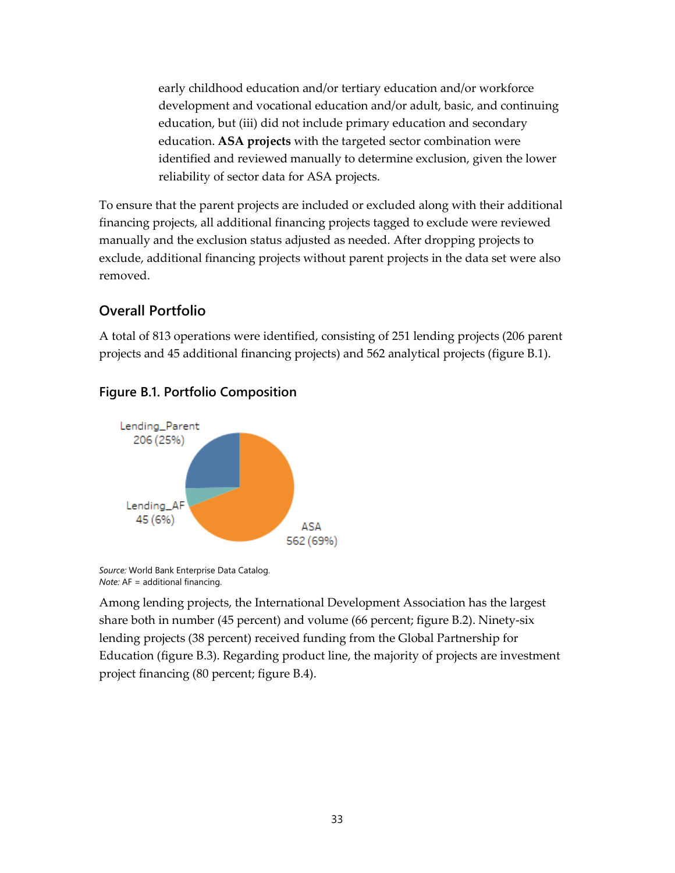early childhood education and/or tertiary education and/or workforce development and vocational education and/or adult, basic, and continuing education, but (iii) did not include primary education and secondary education. **ASA projects** with the targeted sector combination were identified and reviewed manually to determine exclusion, given the lower reliability of sector data for ASA projects.

To ensure that the parent projects are included or excluded along with their additional financing projects, all additional financing projects tagged to exclude were reviewed manually and the exclusion status adjusted as needed. After dropping projects to exclude, additional financing projects without parent projects in the data set were also removed.

### **Overall Portfolio**

A total of 813 operations were identified, consisting of 251 lending projects (206 parent projects and 45 additional financing projects) and 562 analytical projects (figure B.1).



#### **Figure B.1. Portfolio Composition**

*Source:* World Bank Enterprise Data Catalog. *Note:* AF = additional financing.

Among lending projects, the International Development Association has the largest share both in number (45 percent) and volume (66 percent; figure B.2). Ninety-six lending projects (38 percent) received funding from the Global Partnership for Education (figure B.3). Regarding product line, the majority of projects are investment project financing (80 percent; figure B.4).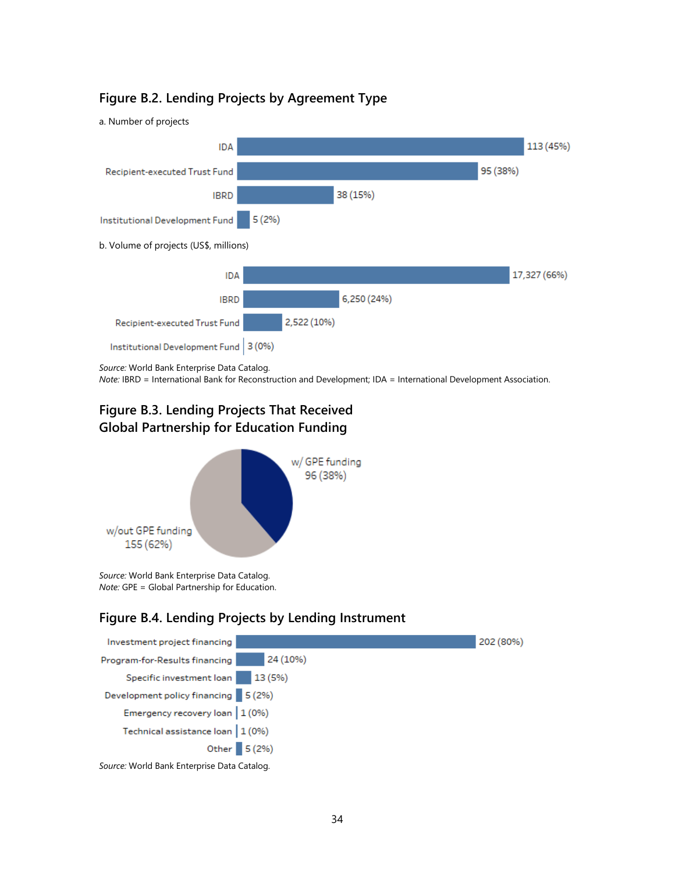#### **Figure B.2. Lending Projects by Agreement Type**



*Source:* World Bank Enterprise Data Catalog.

*Note:* IBRD = International Bank for Reconstruction and Development; IDA = International Development Association.

### **Figure B.3. Lending Projects That Received Global Partnership for Education Funding**



*Source:* World Bank Enterprise Data Catalog. *Note:* GPE = Global Partnership for Education.

#### **Figure B.4. Lending Projects by Lending Instrument**

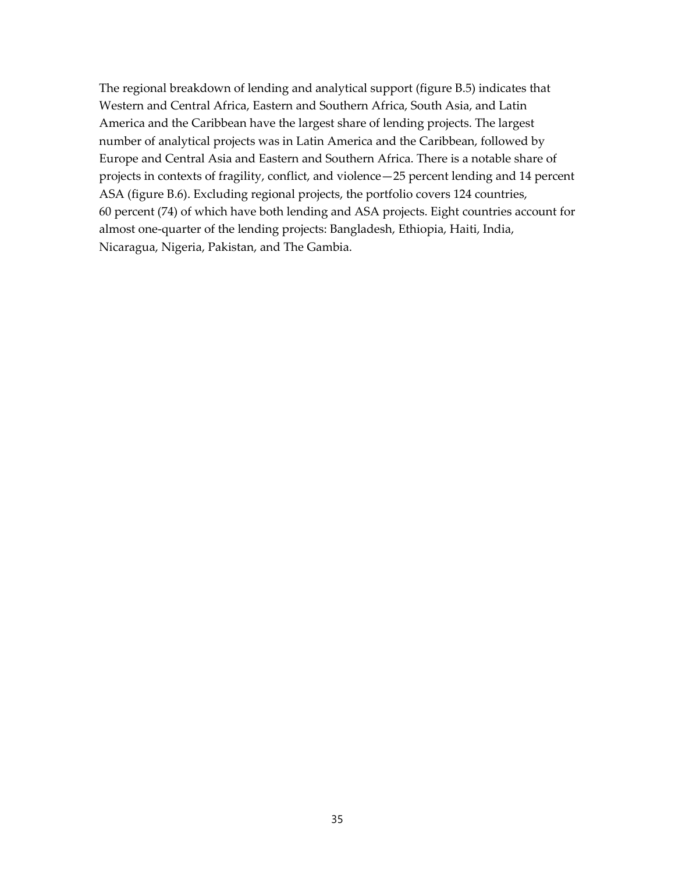The regional breakdown of lending and analytical support (figure B.5) indicates that Western and Central Africa, Eastern and Southern Africa, South Asia, and Latin America and the Caribbean have the largest share of lending projects. The largest number of analytical projects was in Latin America and the Caribbean, followed by Europe and Central Asia and Eastern and Southern Africa. There is a notable share of projects in contexts of fragility, conflict, and violence—25 percent lending and 14 percent ASA (figure B.6). Excluding regional projects, the portfolio covers 124 countries, 60 percent (74) of which have both lending and ASA projects. Eight countries account for almost one-quarter of the lending projects: Bangladesh, Ethiopia, Haiti, India, Nicaragua, Nigeria, Pakistan, and The Gambia.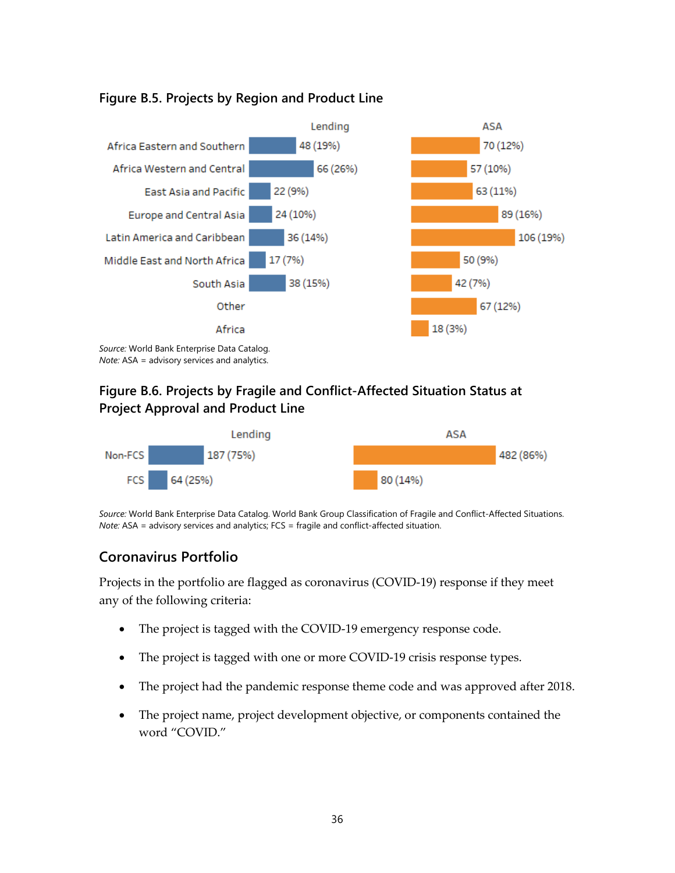

#### **Figure B.5. Projects by Region and Product Line**

*Note:* ASA = advisory services and analytics.

### **Figure B.6. Projects by Fragile and Conflict-Affected Situation Status at Project Approval and Product Line**



*Source:* World Bank Enterprise Data Catalog. World Bank Group Classification of Fragile and Conflict-Affected Situations. *Note:* ASA = advisory services and analytics; FCS = fragile and conflict-affected situation.

### **Coronavirus Portfolio**

Projects in the portfolio are flagged as coronavirus (COVID-19) response if they meet any of the following criteria:

- The project is tagged with the COVID-19 emergency response code.
- The project is tagged with one or more COVID-19 crisis response types.
- The project had the pandemic response theme code and was approved after 2018.
- The project name, project development objective, or components contained the word "COVID."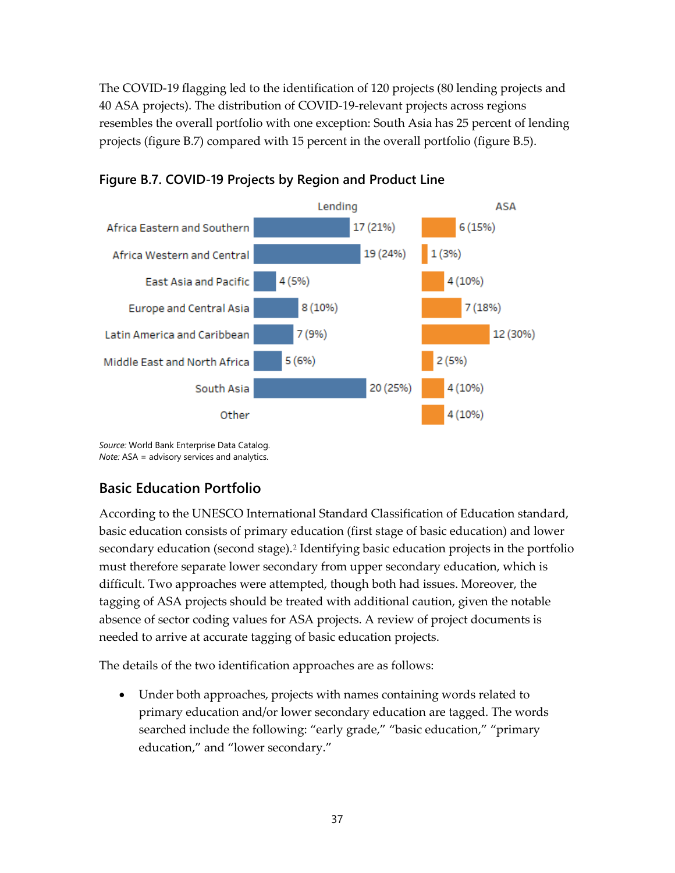The COVID-19 flagging led to the identification of 120 projects (80 lending projects and 40 ASA projects). The distribution of COVID-19-relevant projects across regions resembles the overall portfolio with one exception: South Asia has 25 percent of lending projects (figure B.7) compared with 15 percent in the overall portfolio (figure B.5).





*Source:* World Bank Enterprise Data Catalog. *Note:* ASA = advisory services and analytics.

### **Basic Education Portfolio**

According to the UNESCO International Standard Classification of Education standard, basic education consists of primary education (first stage of basic education) and lower secondary education (second stage).<sup>[2](#page-37-1)</sup> Identifying basic education projects in the portfolio must therefore separate lower secondary from upper secondary education, which is difficult. Two approaches were attempted, though both had issues. Moreover, the tagging of ASA projects should be treated with additional caution, given the notable absence of sector coding values for ASA projects. A review of project documents is needed to arrive at accurate tagging of basic education projects.

The details of the two identification approaches are as follows:

• Under both approaches, projects with names containing words related to primary education and/or lower secondary education are tagged. The words searched include the following: "early grade," "basic education," "primary education," and "lower secondary."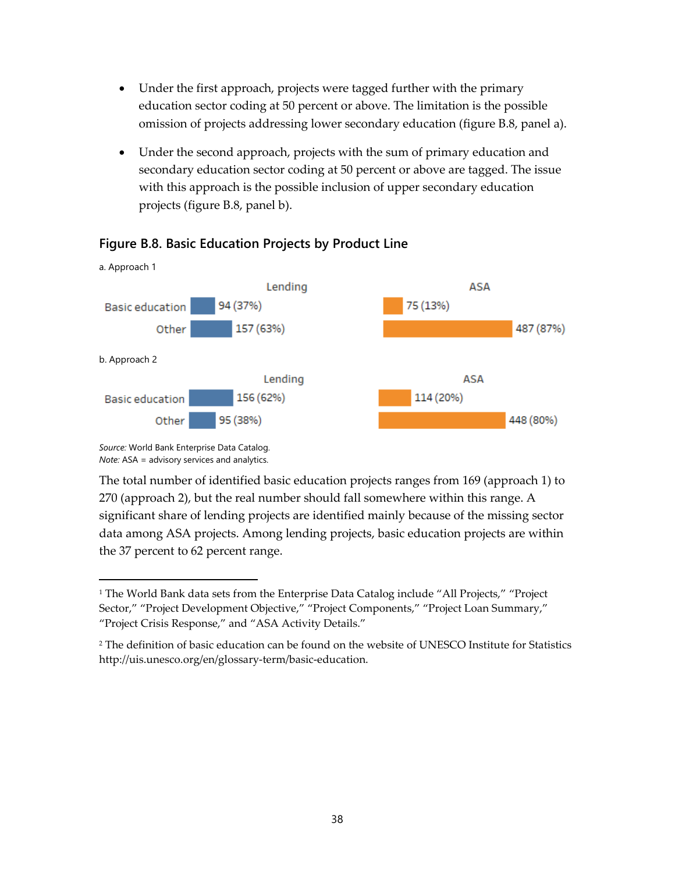- Under the first approach, projects were tagged further with the primary education sector coding at 50 percent or above. The limitation is the possible omission of projects addressing lower secondary education (figure B.8, panel a).
- Under the second approach, projects with the sum of primary education and secondary education sector coding at 50 percent or above are tagged. The issue with this approach is the possible inclusion of upper secondary education projects (figure B.8, panel b).



#### **Figure B.8. Basic Education Projects by Product Line**

*Source:* World Bank Enterprise Data Catalog. *Note:* ASA = advisory services and analytics.

The total number of identified basic education projects ranges from 169 (approach 1) to 270 (approach 2), but the real number should fall somewhere within this range. A significant share of lending projects are identified mainly because of the missing sector data among ASA projects. Among lending projects, basic education projects are within the 37 percent to 62 percent range.

<span id="page-37-0"></span><sup>&</sup>lt;sup>1</sup> The World Bank data sets from the Enterprise Data Catalog include "All Projects," "Project Sector," "Project Development Objective," "Project Components," "Project Loan Summary," "Project Crisis Response," and "ASA Activity Details."

<span id="page-37-1"></span><sup>2</sup> The definition of basic education can be found on the [website of UNESCO Institute for Statistics](about:blank) http://uis.unesco.org/en/glossary-term/basic-education.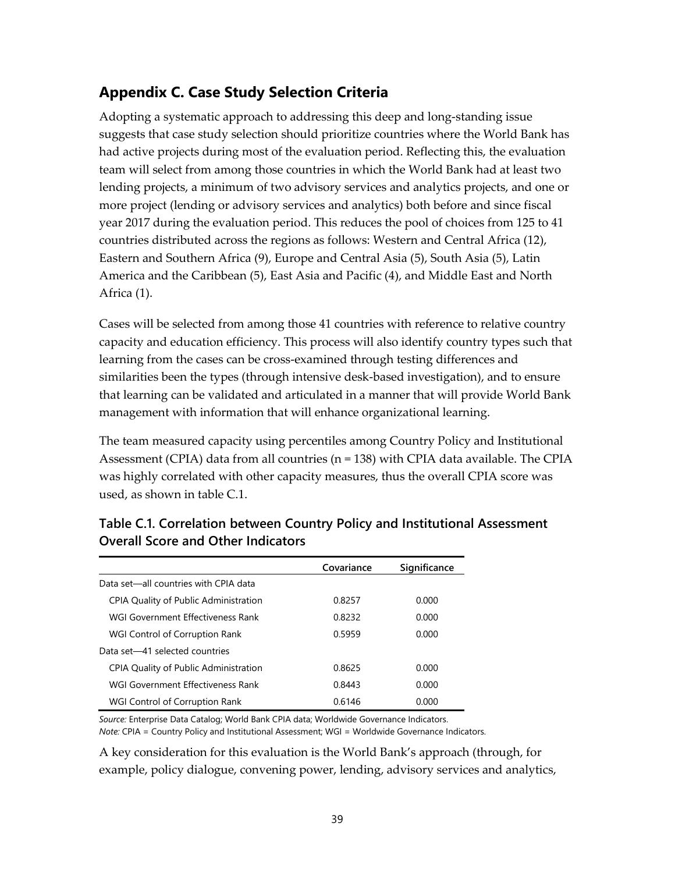## **Appendix C. Case Study Selection Criteria**

Adopting a systematic approach to addressing this deep and long-standing issue suggests that case study selection should prioritize countries where the World Bank has had active projects during most of the evaluation period. Reflecting this, the evaluation team will select from among those countries in which the World Bank had at least two lending projects, a minimum of two advisory services and analytics projects, and one or more project (lending or advisory services and analytics) both before and since fiscal year 2017 during the evaluation period. This reduces the pool of choices from 125 to 41 countries distributed across the regions as follows: Western and Central Africa (12), Eastern and Southern Africa (9), Europe and Central Asia (5), South Asia (5), Latin America and the Caribbean (5), East Asia and Pacific (4), and Middle East and North Africa (1).

Cases will be selected from among those 41 countries with reference to relative country capacity and education efficiency. This process will also identify country types such that learning from the cases can be cross-examined through testing differences and similarities been the types (through intensive desk-based investigation), and to ensure that learning can be validated and articulated in a manner that will provide World Bank management with information that will enhance organizational learning.

The team measured capacity using percentiles among Country Policy and Institutional Assessment (CPIA) data from all countries ( $n = 138$ ) with CPIA data available. The CPIA was highly correlated with other capacity measures, thus the overall CPIA score was used, as shown in table C.1.

|                                       | Covariance | Significance |
|---------------------------------------|------------|--------------|
| Data set—all countries with CPIA data |            |              |
| CPIA Quality of Public Administration | 0.8257     | 0.000        |
| WGI Government Effectiveness Rank     | 0.8232     | 0.000        |
| WGI Control of Corruption Rank        | 0.5959     | 0.000        |
| Data set-41 selected countries        |            |              |
| CPIA Quality of Public Administration | 0.8625     | 0.000        |
| WGI Government Effectiveness Rank     | 0.8443     | 0.000        |
| WGI Control of Corruption Rank        | 0.6146     | 0.000        |

### **Table C.1. Correlation between Country Policy and Institutional Assessment Overall Score and Other Indicators**

*Source:* Enterprise Data Catalog; World Bank CPIA data; Worldwide Governance Indicators.

*Note:* CPIA = Country Policy and Institutional Assessment; WGI = Worldwide Governance Indicators.

A key consideration for this evaluation is the World Bank's approach (through, for example, policy dialogue, convening power, lending, advisory services and analytics,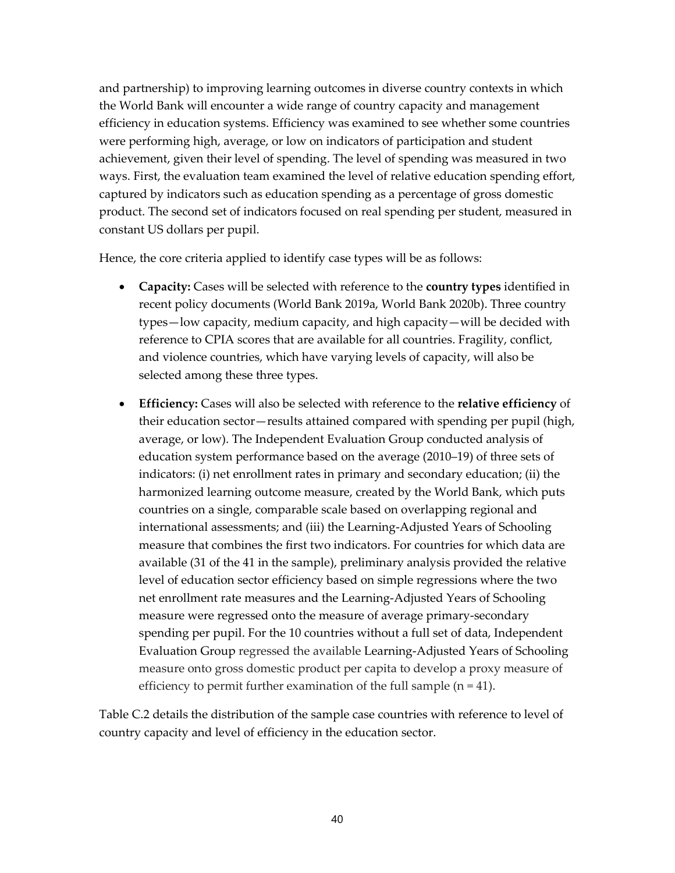and partnership) to improving learning outcomes in diverse country contexts in which the World Bank will encounter a wide range of country capacity and management efficiency in education systems. Efficiency was examined to see whether some countries were performing high, average, or low on indicators of participation and student achievement, given their level of spending. The level of spending was measured in two ways. First, the evaluation team examined the level of relative education spending effort, captured by indicators such as education spending as a percentage of gross domestic product. The second set of indicators focused on real spending per student, measured in constant US dollars per pupil.

Hence, the core criteria applied to identify case types will be as follows:

- **Capacity:** Cases will be selected with reference to the **country types** identified in recent policy documents (World Bank 2019a, World Bank 2020b). Three country types—low capacity, medium capacity, and high capacity—will be decided with reference to CPIA scores that are available for all countries. Fragility, conflict, and violence countries, which have varying levels of capacity, will also be selected among these three types.
- **Efficiency:** Cases will also be selected with reference to the **relative efficiency** of their education sector—results attained compared with spending per pupil (high, average, or low). The Independent Evaluation Group conducted analysis of education system performance based on the average (2010–19) of three sets of indicators: (i) net enrollment rates in primary and secondary education; (ii) the harmonized learning outcome measure, created by the World Bank, which puts countries on a single, comparable scale based on overlapping regional and international assessments; and (iii) the Learning-Adjusted Years of Schooling measure that combines the first two indicators. For countries for which data are available (31 of the 41 in the sample), preliminary analysis provided the relative level of education sector efficiency based on simple regressions where the two net enrollment rate measures and the Learning-Adjusted Years of Schooling measure were regressed onto the measure of average primary-secondary spending per pupil. For the 10 countries without a full set of data, Independent Evaluation Group regressed the available Learning-Adjusted Years of Schooling measure onto gross domestic product per capita to develop a proxy measure of efficiency to permit further examination of the full sample  $(n = 41)$ .

Table C.2 details the distribution of the sample case countries with reference to level of country capacity and level of efficiency in the education sector.